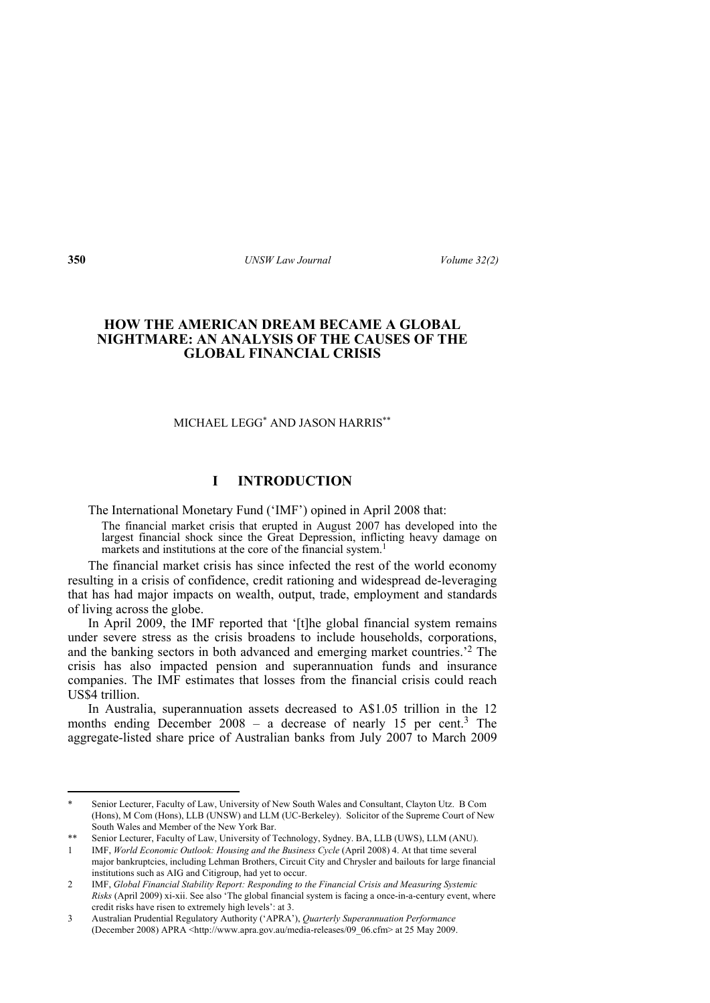# **HOW THE AMERICAN DREAM BECAME A GLOBAL NIGHTMARE: AN ANALYSIS OF THE CAUSES OF THE GLOBAL FINANCIAL CRISIS**

MICHAEL LEGG\* AND JASON HARRIS\*\*

# **I INTRODUCTION**

The International Monetary Fund ('IMF') opined in April 2008 that:

The financial market crisis that erupted in August 2007 has developed into the largest financial shock since the Great Depression, inflicting heavy damage on markets and institutions at the core of the financial system.<sup>1</sup>

The financial market crisis has since infected the rest of the world economy resulting in a crisis of confidence, credit rationing and widespread de-leveraging that has had major impacts on wealth, output, trade, employment and standards of living across the globe.

In April 2009, the IMF reported that '[t]he global financial system remains under severe stress as the crisis broadens to include households, corporations, and the banking sectors in both advanced and emerging market countries.'2 The crisis has also impacted pension and superannuation funds and insurance companies. The IMF estimates that losses from the financial crisis could reach US\$4 trillion.

In Australia, superannuation assets decreased to A\$1.05 trillion in the 12 months ending December 2008 – a decrease of nearly 15 per cent.<sup>3</sup> The aggregate-listed share price of Australian banks from July 2007 to March 2009

Senior Lecturer, Faculty of Law, University of New South Wales and Consultant, Clayton Utz. B Com (Hons), M Com (Hons), LLB (UNSW) and LLM (UC-Berkeley). Solicitor of the Supreme Court of New South Wales and Member of the New York Bar.

<sup>\*\*</sup> Senior Lecturer, Faculty of Law, University of Technology, Sydney. BA, LLB (UWS), LLM (ANU).

<sup>1</sup> IMF, *World Economic Outlook: Housing and the Business Cycle* (April 2008) 4. At that time several major bankruptcies, including Lehman Brothers, Circuit City and Chrysler and bailouts for large financial institutions such as AIG and Citigroup, had yet to occur.

<sup>2</sup> IMF, *Global Financial Stability Report: Responding to the Financial Crisis and Measuring Systemic Risks* (April 2009) xi-xii. See also 'The global financial system is facing a once-in-a-century event, where credit risks have risen to extremely high levels': at 3.

<sup>3</sup> Australian Prudential Regulatory Authority ('APRA'), *Quarterly Superannuation Performance* (December 2008) APRA <http://www.apra.gov.au/media-releases/09\_06.cfm> at 25 May 2009.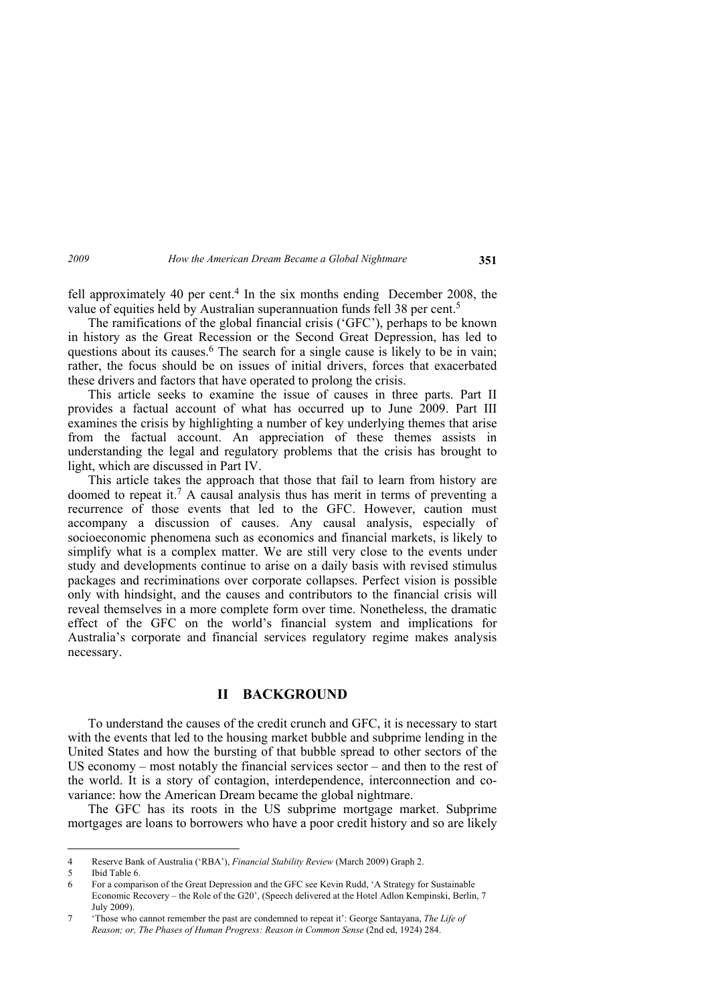fell approximately 40 per cent.<sup>4</sup> In the six months ending December 2008, the value of equities held by Australian superannuation funds fell 38 per cent.5

The ramifications of the global financial crisis ('GFC'), perhaps to be known in history as the Great Recession or the Second Great Depression, has led to questions about its causes.<sup>6</sup> The search for a single cause is likely to be in vain; rather, the focus should be on issues of initial drivers, forces that exacerbated these drivers and factors that have operated to prolong the crisis.

This article seeks to examine the issue of causes in three parts. Part II provides a factual account of what has occurred up to June 2009. Part III examines the crisis by highlighting a number of key underlying themes that arise from the factual account. An appreciation of these themes assists in understanding the legal and regulatory problems that the crisis has brought to light, which are discussed in Part IV.

This article takes the approach that those that fail to learn from history are doomed to repeat it.7 A causal analysis thus has merit in terms of preventing a recurrence of those events that led to the GFC. However, caution must accompany a discussion of causes. Any causal analysis, especially of socioeconomic phenomena such as economics and financial markets, is likely to simplify what is a complex matter. We are still very close to the events under study and developments continue to arise on a daily basis with revised stimulus packages and recriminations over corporate collapses. Perfect vision is possible only with hindsight, and the causes and contributors to the financial crisis will reveal themselves in a more complete form over time. Nonetheless, the dramatic effect of the GFC on the world's financial system and implications for Australia's corporate and financial services regulatory regime makes analysis necessary.

## **II BACKGROUND**

To understand the causes of the credit crunch and GFC, it is necessary to start with the events that led to the housing market bubble and subprime lending in the United States and how the bursting of that bubble spread to other sectors of the US economy – most notably the financial services sector – and then to the rest of the world. It is a story of contagion, interdependence, interconnection and covariance: how the American Dream became the global nightmare.

The GFC has its roots in the US subprime mortgage market. Subprime mortgages are loans to borrowers who have a poor credit history and so are likely

<sup>4</sup> Reserve Bank of Australia ('RBA'), *Financial Stability Review* (March 2009) Graph 2.

<sup>5</sup> Ibid Table 6.

<sup>6</sup> For a comparison of the Great Depression and the GFC see Kevin Rudd, 'A Strategy for Sustainable Economic Recovery – the Role of the G20', (Speech delivered at the Hotel Adlon Kempinski, Berlin, 7 July 2009).

<sup>7 &#</sup>x27;Those who cannot remember the past are condemned to repeat it': George Santayana, *The Life of Reason; or, The Phases of Human Progress: Reason in Common Sense* (2nd ed, 1924) 284.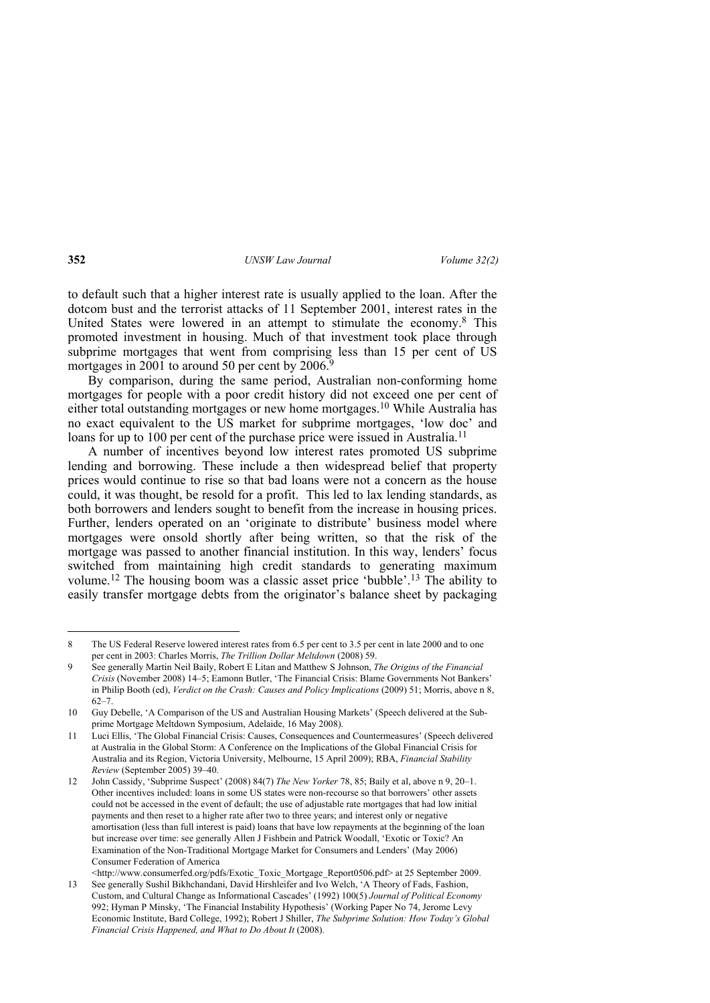to default such that a higher interest rate is usually applied to the loan. After the dotcom bust and the terrorist attacks of 11 September 2001, interest rates in the United States were lowered in an attempt to stimulate the economy.8 This promoted investment in housing. Much of that investment took place through subprime mortgages that went from comprising less than 15 per cent of US mortgages in 2001 to around 50 per cent by 2006.

By comparison, during the same period, Australian non-conforming home mortgages for people with a poor credit history did not exceed one per cent of either total outstanding mortgages or new home mortgages.10 While Australia has no exact equivalent to the US market for subprime mortgages, 'low doc' and loans for up to 100 per cent of the purchase price were issued in Australia.<sup>11</sup>

A number of incentives beyond low interest rates promoted US subprime lending and borrowing. These include a then widespread belief that property prices would continue to rise so that bad loans were not a concern as the house could, it was thought, be resold for a profit. This led to lax lending standards, as both borrowers and lenders sought to benefit from the increase in housing prices. Further, lenders operated on an 'originate to distribute' business model where mortgages were onsold shortly after being written, so that the risk of the mortgage was passed to another financial institution. In this way, lenders' focus switched from maintaining high credit standards to generating maximum volume.12 The housing boom was a classic asset price 'bubble'.13 The ability to easily transfer mortgage debts from the originator's balance sheet by packaging

<sup>8</sup> The US Federal Reserve lowered interest rates from 6.5 per cent to 3.5 per cent in late 2000 and to one per cent in 2003: Charles Morris, *The Trillion Dollar Meltdown* (2008) 59.

<sup>9</sup> See generally Martin Neil Baily, Robert E Litan and Matthew S Johnson, *The Origins of the Financial Crisis* (November 2008) 14–5; Eamonn Butler, 'The Financial Crisis: Blame Governments Not Bankers' in Philip Booth (ed), *Verdict on the Crash: Causes and Policy Implications* (2009) 51; Morris, above n 8, 62–7.

<sup>10</sup> Guy Debelle, 'A Comparison of the US and Australian Housing Markets' (Speech delivered at the Subprime Mortgage Meltdown Symposium, Adelaide, 16 May 2008).

<sup>11</sup> Luci Ellis, 'The Global Financial Crisis: Causes, Consequences and Countermeasures' (Speech delivered at Australia in the Global Storm: A Conference on the Implications of the Global Financial Crisis for Australia and its Region, Victoria University, Melbourne, 15 April 2009); RBA, *Financial Stability Review* (September 2005) 39–40.

<sup>12</sup> John Cassidy, 'Subprime Suspect' (2008) 84(7) *The New Yorker* 78, 85; Baily et al, above n 9, 20–1. Other incentives included: loans in some US states were non-recourse so that borrowers' other assets could not be accessed in the event of default; the use of adjustable rate mortgages that had low initial payments and then reset to a higher rate after two to three years; and interest only or negative amortisation (less than full interest is paid) loans that have low repayments at the beginning of the loan but increase over time: see generally Allen J Fishbein and Patrick Woodall, 'Exotic or Toxic? An Examination of the Non-Traditional Mortgage Market for Consumers and Lenders' (May 2006) Consumer Federation of America

<sup>&</sup>lt;http://www.consumerfed.org/pdfs/Exotic\_Toxic\_Mortgage\_Report0506.pdf> at 25 September 2009. 13 See generally Sushil Bikhchandani, David Hirshleifer and Ivo Welch, 'A Theory of Fads, Fashion, Custom, and Cultural Change as Informational Cascades' (1992) 100(5) *Journal of Political Economy* 992; Hyman P Minsky, 'The Financial Instability Hypothesis' (Working Paper No 74, Jerome Levy Economic Institute, Bard College, 1992); Robert J Shiller, *The Subprime Solution: How Today's Global Financial Crisis Happened, and What to Do About It* (2008).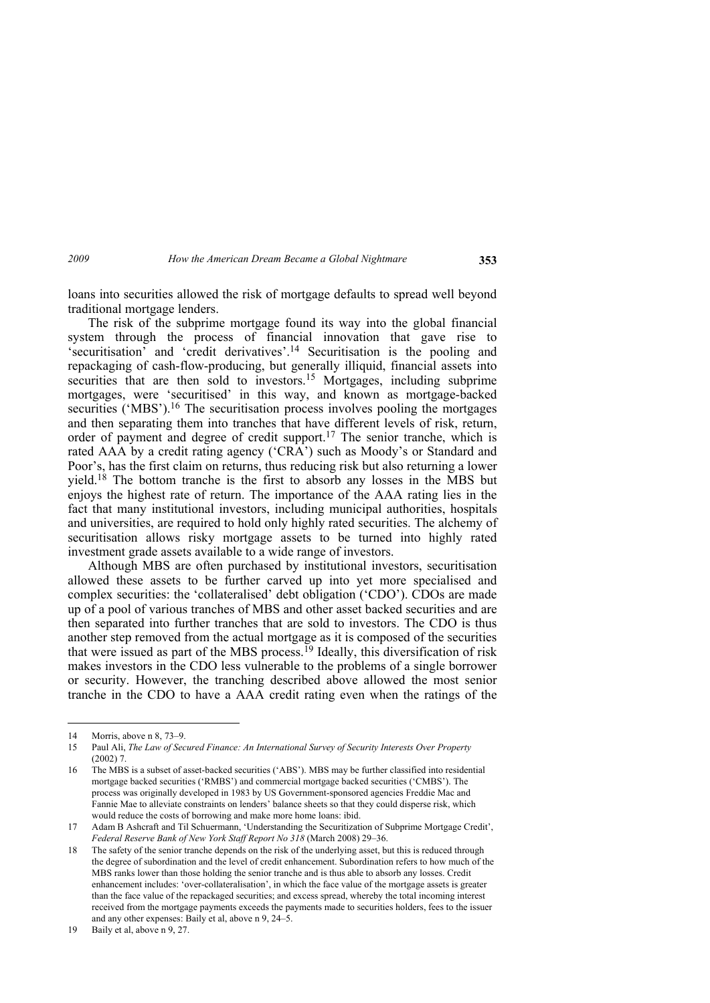loans into securities allowed the risk of mortgage defaults to spread well beyond traditional mortgage lenders.

The risk of the subprime mortgage found its way into the global financial system through the process of financial innovation that gave rise to 'securitisation' and 'credit derivatives'.14 Securitisation is the pooling and repackaging of cash-flow-producing, but generally illiquid, financial assets into securities that are then sold to investors.<sup>15</sup> Mortgages, including subprime mortgages, were 'securitised' in this way, and known as mortgage-backed securities ('MBS').<sup>16</sup> The securitisation process involves pooling the mortgages and then separating them into tranches that have different levels of risk, return, order of payment and degree of credit support.17 The senior tranche, which is rated AAA by a credit rating agency ('CRA') such as Moody's or Standard and Poor's, has the first claim on returns, thus reducing risk but also returning a lower yield.18 The bottom tranche is the first to absorb any losses in the MBS but enjoys the highest rate of return. The importance of the AAA rating lies in the fact that many institutional investors, including municipal authorities, hospitals and universities, are required to hold only highly rated securities. The alchemy of securitisation allows risky mortgage assets to be turned into highly rated investment grade assets available to a wide range of investors.

Although MBS are often purchased by institutional investors, securitisation allowed these assets to be further carved up into yet more specialised and complex securities: the 'collateralised' debt obligation ('CDO'). CDOs are made up of a pool of various tranches of MBS and other asset backed securities and are then separated into further tranches that are sold to investors. The CDO is thus another step removed from the actual mortgage as it is composed of the securities that were issued as part of the MBS process.<sup>19</sup> Ideally, this diversification of risk makes investors in the CDO less vulnerable to the problems of a single borrower or security. However, the tranching described above allowed the most senior tranche in the CDO to have a AAA credit rating even when the ratings of the

<sup>14</sup> Morris, above n 8, 73–9.

<sup>15</sup> Paul Ali, *The Law of Secured Finance: An International Survey of Security Interests Over Property*  $(2002)$  7

<sup>16</sup> The MBS is a subset of asset-backed securities ('ABS'). MBS may be further classified into residential mortgage backed securities ('RMBS') and commercial mortgage backed securities ('CMBS'). The process was originally developed in 1983 by US Government-sponsored agencies Freddie Mac and Fannie Mae to alleviate constraints on lenders' balance sheets so that they could disperse risk, which would reduce the costs of borrowing and make more home loans: ibid.

<sup>17</sup> Adam B Ashcraft and Til Schuermann, 'Understanding the Securitization of Subprime Mortgage Credit', *Federal Reserve Bank of New York Staff Report No 318* (March 2008) 29–36.

<sup>18</sup> The safety of the senior tranche depends on the risk of the underlying asset, but this is reduced through the degree of subordination and the level of credit enhancement. Subordination refers to how much of the MBS ranks lower than those holding the senior tranche and is thus able to absorb any losses. Credit enhancement includes: 'over-collateralisation', in which the face value of the mortgage assets is greater than the face value of the repackaged securities; and excess spread, whereby the total incoming interest received from the mortgage payments exceeds the payments made to securities holders, fees to the issuer and any other expenses: Baily et al, above n 9, 24–5.

<sup>19</sup> Baily et al, above n 9, 27.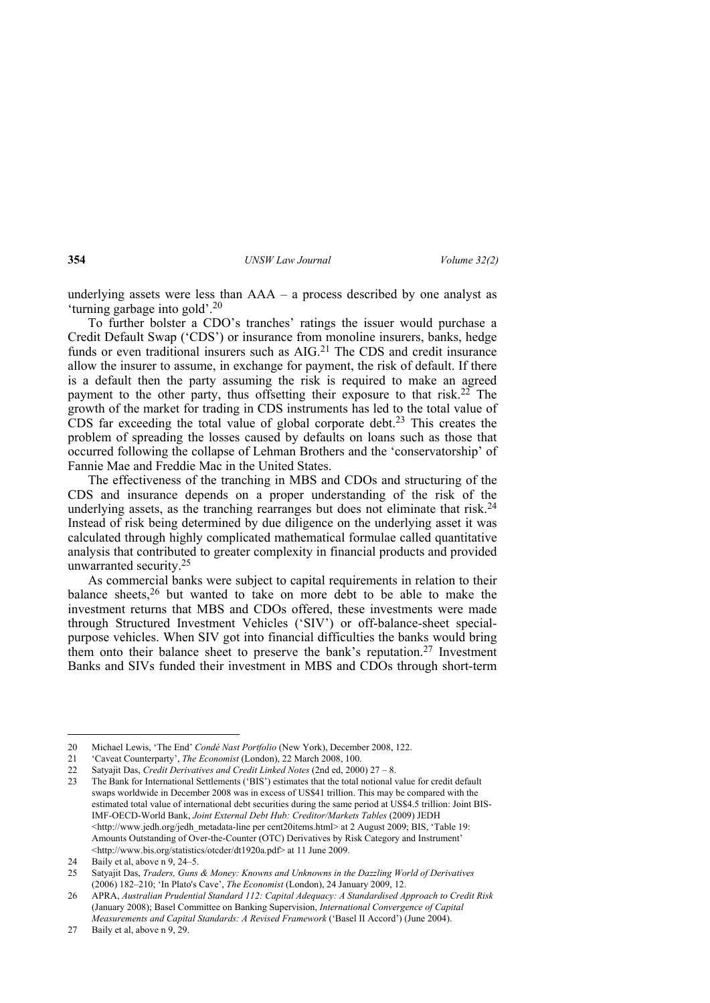underlying assets were less than AAA – a process described by one analyst as 'turning garbage into gold'.20

To further bolster a CDO's tranches' ratings the issuer would purchase a Credit Default Swap ('CDS') or insurance from monoline insurers, banks, hedge funds or even traditional insurers such as AIG.<sup>21</sup> The CDS and credit insurance allow the insurer to assume, in exchange for payment, the risk of default. If there is a default then the party assuming the risk is required to make an agreed payment to the other party, thus offsetting their exposure to that risk.<sup>22</sup> The growth of the market for trading in CDS instruments has led to the total value of CDS far exceeding the total value of global corporate debt.23 This creates the problem of spreading the losses caused by defaults on loans such as those that occurred following the collapse of Lehman Brothers and the 'conservatorship' of Fannie Mae and Freddie Mac in the United States.

The effectiveness of the tranching in MBS and CDOs and structuring of the CDS and insurance depends on a proper understanding of the risk of the underlying assets, as the tranching rearranges but does not eliminate that risk.<sup>24</sup> Instead of risk being determined by due diligence on the underlying asset it was calculated through highly complicated mathematical formulae called quantitative analysis that contributed to greater complexity in financial products and provided unwarranted security.25

As commercial banks were subject to capital requirements in relation to their balance sheets,<sup>26</sup> but wanted to take on more debt to be able to make the investment returns that MBS and CDOs offered, these investments were made through Structured Investment Vehicles ('SIV') or off-balance-sheet specialpurpose vehicles. When SIV got into financial difficulties the banks would bring them onto their balance sheet to preserve the bank's reputation.27 Investment Banks and SIVs funded their investment in MBS and CDOs through short-term

<sup>20</sup> Michael Lewis, 'The End' *Condé Nast Portfolio* (New York), December 2008, 122.

<sup>21 &#</sup>x27;Caveat Counterparty', *The Economist* (London), 22 March 2008, 100.

<sup>22</sup> Satyajit Das, *Credit Derivatives and Credit Linked Notes* (2nd ed, 2000) 27 – 8.

<sup>23</sup> The Bank for International Settlements ('BIS') estimates that the total notional value for credit default swaps worldwide in December 2008 was in excess of US\$41 trillion. This may be compared with the estimated total value of international debt securities during the same period at US\$4.5 trillion: Joint BIS-IMF-OECD-World Bank, *Joint External Debt Hub: Creditor/Markets Tables* (2009) JEDH <http://www.jedh.org/jedh\_metadata-line per cent20items.html> at 2 August 2009; BIS, 'Table 19: Amounts Outstanding of Over-the-Counter (OTC) Derivatives by Risk Category and Instrument' <http://www.bis.org/statistics/otcder/dt1920a.pdf> at 11 June 2009.

<sup>24</sup> Baily et al, above n 9, 24–5.

<sup>25</sup> Satyajit Das, *Traders, Guns & Money: Knowns and Unknowns in the Dazzling World of Derivatives* (2006) 182–210; 'In Plato's Cave', *The Economist* (London), 24 January 2009, 12.

<sup>26</sup> APRA, *Australian Prudential Standard 112: Capital Adequacy: A Standardised Approach to Credit Risk* (January 2008); Basel Committee on Banking Supervision, *International Convergence of Capital Measurements and Capital Standards: A Revised Framework* ('Basel II Accord') (June 2004).

<sup>27</sup> Baily et al, above n 9, 29.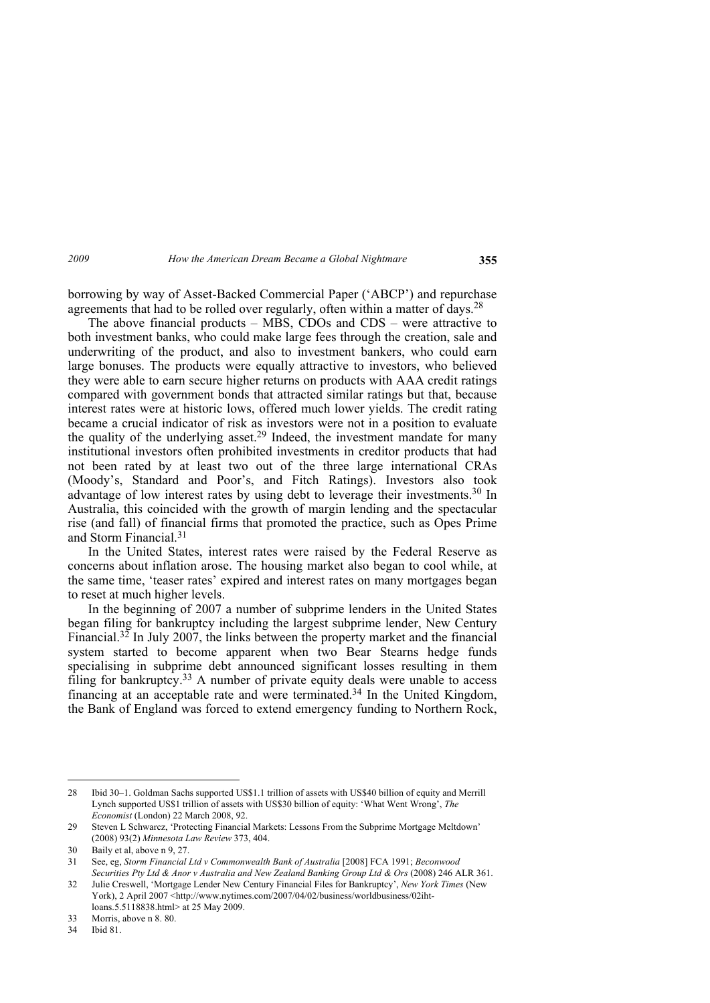borrowing by way of Asset-Backed Commercial Paper ('ABCP') and repurchase agreements that had to be rolled over regularly, often within a matter of days.28

The above financial products – MBS, CDOs and CDS – were attractive to both investment banks, who could make large fees through the creation, sale and underwriting of the product, and also to investment bankers, who could earn large bonuses. The products were equally attractive to investors, who believed they were able to earn secure higher returns on products with AAA credit ratings compared with government bonds that attracted similar ratings but that, because interest rates were at historic lows, offered much lower yields. The credit rating became a crucial indicator of risk as investors were not in a position to evaluate the quality of the underlying asset.<sup>29</sup> Indeed, the investment mandate for many institutional investors often prohibited investments in creditor products that had not been rated by at least two out of the three large international CRAs (Moody's, Standard and Poor's, and Fitch Ratings). Investors also took advantage of low interest rates by using debt to leverage their investments.30 In Australia, this coincided with the growth of margin lending and the spectacular rise (and fall) of financial firms that promoted the practice, such as Opes Prime and Storm Financial.31

In the United States, interest rates were raised by the Federal Reserve as concerns about inflation arose. The housing market also began to cool while, at the same time, 'teaser rates' expired and interest rates on many mortgages began to reset at much higher levels.

In the beginning of 2007 a number of subprime lenders in the United States began filing for bankruptcy including the largest subprime lender, New Century Financial.<sup>32</sup> In July 2007, the links between the property market and the financial system started to become apparent when two Bear Stearns hedge funds specialising in subprime debt announced significant losses resulting in them filing for bankruptcy.<sup>33</sup> A number of private equity deals were unable to access financing at an acceptable rate and were terminated.34 In the United Kingdom, the Bank of England was forced to extend emergency funding to Northern Rock,

<sup>28</sup> Ibid 30–1. Goldman Sachs supported US\$1.1 trillion of assets with US\$40 billion of equity and Merrill Lynch supported US\$1 trillion of assets with US\$30 billion of equity: 'What Went Wrong', *The Economist* (London) 22 March 2008, 92.

<sup>29</sup> Steven L Schwarcz, 'Protecting Financial Markets: Lessons From the Subprime Mortgage Meltdown' (2008) 93(2) *Minnesota Law Review* 373, 404.

<sup>30</sup> Baily et al, above n 9, 27.

<sup>31</sup> See, eg, *Storm Financial Ltd v Commonwealth Bank of Australia* [2008] FCA 1991; *Beconwood Securities Pty Ltd & Anor v Australia and New Zealand Banking Group Ltd & Ors* (2008) 246 ALR 361.

<sup>32</sup> Julie Creswell, 'Mortgage Lender New Century Financial Files for Bankruptcy', *New York Times* (New York), 2 April 2007 <http://www.nytimes.com/2007/04/02/business/worldbusiness/02ihtloans.5.5118838.html> at 25 May 2009.

<sup>33</sup> Morris, above n 8. 80.

Ibid 81.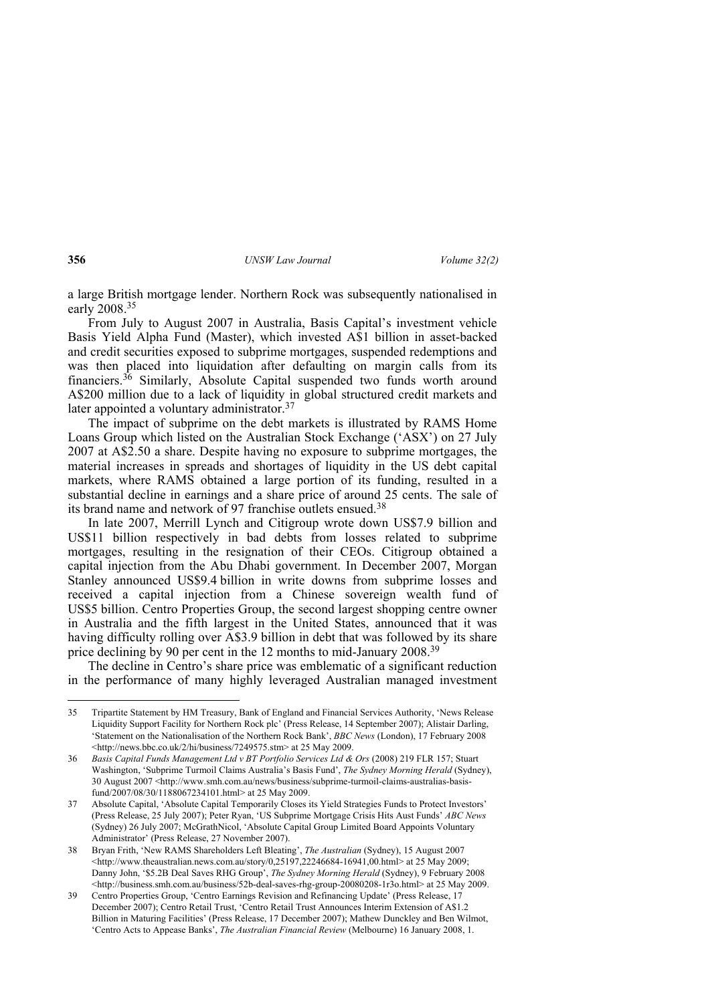a large British mortgage lender. Northern Rock was subsequently nationalised in early 2008.35

From July to August 2007 in Australia, Basis Capital's investment vehicle Basis Yield Alpha Fund (Master), which invested A\$1 billion in asset-backed and credit securities exposed to subprime mortgages, suspended redemptions and was then placed into liquidation after defaulting on margin calls from its financiers.36 Similarly, Absolute Capital suspended two funds worth around A\$200 million due to a lack of liquidity in global structured credit markets and later appointed a voluntary administrator.<sup>37</sup>

The impact of subprime on the debt markets is illustrated by RAMS Home Loans Group which listed on the Australian Stock Exchange ('ASX') on 27 July 2007 at A\$2.50 a share. Despite having no exposure to subprime mortgages, the material increases in spreads and shortages of liquidity in the US debt capital markets, where RAMS obtained a large portion of its funding, resulted in a substantial decline in earnings and a share price of around 25 cents. The sale of its brand name and network of 97 franchise outlets ensued.38

In late 2007, Merrill Lynch and Citigroup wrote down US\$7.9 billion and US\$11 billion respectively in bad debts from losses related to subprime mortgages, resulting in the resignation of their CEOs. Citigroup obtained a capital injection from the Abu Dhabi government. In December 2007, Morgan Stanley announced US\$9.4 billion in write downs from subprime losses and received a capital injection from a Chinese sovereign wealth fund of US\$5 billion. Centro Properties Group, the second largest shopping centre owner in Australia and the fifth largest in the United States, announced that it was having difficulty rolling over A\$3.9 billion in debt that was followed by its share price declining by 90 per cent in the 12 months to mid-January 2008.39

The decline in Centro's share price was emblematic of a significant reduction in the performance of many highly leveraged Australian managed investment

<sup>35</sup> Tripartite Statement by HM Treasury, Bank of England and Financial Services Authority, 'News Release Liquidity Support Facility for Northern Rock plc' (Press Release, 14 September 2007); Alistair Darling, 'Statement on the Nationalisation of the Northern Rock Bank', *BBC News* (London), 17 February 2008 <http://news.bbc.co.uk/2/hi/business/7249575.stm> at 25 May 2009.

<sup>36</sup> *Basis Capital Funds Management Ltd v BT Portfolio Services Ltd & Ors* (2008) 219 FLR 157; Stuart Washington, 'Subprime Turmoil Claims Australia's Basis Fund', *The Sydney Morning Herald* (Sydney), 30 August 2007 <http://www.smh.com.au/news/business/subprime-turmoil-claims-australias-basisfund/2007/08/30/1188067234101.html> at 25 May 2009.

<sup>37</sup> Absolute Capital, 'Absolute Capital Temporarily Closes its Yield Strategies Funds to Protect Investors' (Press Release, 25 July 2007); Peter Ryan, 'US Subprime Mortgage Crisis Hits Aust Funds' *ABC News* (Sydney) 26 July 2007; McGrathNicol, 'Absolute Capital Group Limited Board Appoints Voluntary Administrator' (Press Release, 27 November 2007).

<sup>38</sup> Bryan Frith, 'New RAMS Shareholders Left Bleating', *The Australian* (Sydney), 15 August 2007 <http://www.theaustralian.news.com.au/story/0,25197,22246684-16941,00.html> at 25 May 2009; Danny John, '\$5.2B Deal Saves RHG Group', *The Sydney Morning Herald* (Sydney), 9 February 2008 <http://business.smh.com.au/business/52b-deal-saves-rhg-group-20080208-1r3o.html> at 25 May 2009.

<sup>39</sup> Centro Properties Group, 'Centro Earnings Revision and Refinancing Update' (Press Release, 17 December 2007); Centro Retail Trust, 'Centro Retail Trust Announces Interim Extension of A\$1.2 Billion in Maturing Facilities' (Press Release, 17 December 2007); Mathew Dunckley and Ben Wilmot, 'Centro Acts to Appease Banks', *The Australian Financial Review* (Melbourne) 16 January 2008, 1.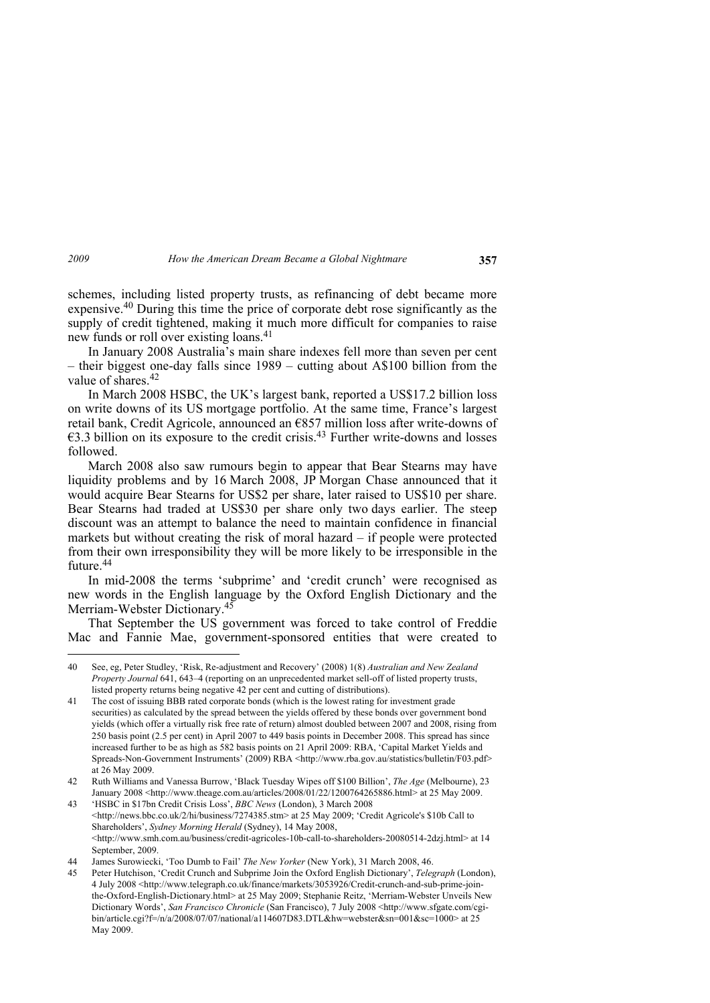schemes, including listed property trusts, as refinancing of debt became more expensive.40 During this time the price of corporate debt rose significantly as the supply of credit tightened, making it much more difficult for companies to raise new funds or roll over existing loans.<sup>41</sup>

In January 2008 Australia's main share indexes fell more than seven per cent – their biggest one-day falls since 1989 – cutting about A\$100 billion from the value of shares.<sup>42</sup>

In March 2008 HSBC, the UK's largest bank, reported a US\$17.2 billion loss on write downs of its US mortgage portfolio. At the same time, France's largest retail bank, Credit Agricole, announced an €857 million loss after write-downs of  $\epsilon$ 3.3 billion on its exposure to the credit crisis.<sup>43</sup> Further write-downs and losses followed.

March 2008 also saw rumours begin to appear that Bear Stearns may have liquidity problems and by 16 March 2008, JP Morgan Chase announced that it would acquire Bear Stearns for US\$2 per share, later raised to US\$10 per share. Bear Stearns had traded at US\$30 per share only two days earlier. The steep discount was an attempt to balance the need to maintain confidence in financial markets but without creating the risk of moral hazard – if people were protected from their own irresponsibility they will be more likely to be irresponsible in the future.44

In mid-2008 the terms 'subprime' and 'credit crunch' were recognised as new words in the English language by the Oxford English Dictionary and the Merriam-Webster Dictionary.45

That September the US government was forced to take control of Freddie Mac and Fannie Mae, government-sponsored entities that were created to

<sup>40</sup> See, eg, Peter Studley, 'Risk, Re-adjustment and Recovery' (2008) 1(8) *Australian and New Zealand Property Journal* 641, 643–4 (reporting on an unprecedented market sell-off of listed property trusts, listed property returns being negative 42 per cent and cutting of distributions).

<sup>41</sup> The cost of issuing BBB rated corporate bonds (which is the lowest rating for investment grade securities) as calculated by the spread between the yields offered by these bonds over government bond yields (which offer a virtually risk free rate of return) almost doubled between 2007 and 2008, rising from 250 basis point (2.5 per cent) in April 2007 to 449 basis points in December 2008. This spread has since increased further to be as high as 582 basis points on 21 April 2009: RBA, 'Capital Market Yields and Spreads-Non-Government Instruments' (2009) RBA <http://www.rba.gov.au/statistics/bulletin/F03.pdf> at 26 May 2009.

<sup>42</sup> Ruth Williams and Vanessa Burrow, 'Black Tuesday Wipes off \$100 Billion', *The Age* (Melbourne), 23 January 2008 <http://www.theage.com.au/articles/2008/01/22/1200764265886.html> at 25 May 2009.

<sup>43 &#</sup>x27;HSBC in \$17bn Credit Crisis Loss', *BBC News* (London), 3 March 2008 <http://news.bbc.co.uk/2/hi/business/7274385.stm> at 25 May 2009; 'Credit Agricole's \$10b Call to Shareholders', *Sydney Morning Herald* (Sydney), 14 May 2008, <http://www.smh.com.au/business/credit-agricoles-10b-call-to-shareholders-20080514-2dzj.html> at 14 September, 2009.

<sup>44</sup> James Surowiecki, 'Too Dumb to Fail' *The New Yorker* (New York), 31 March 2008, 46.

<sup>45</sup> Peter Hutchison, 'Credit Crunch and Subprime Join the Oxford English Dictionary', *Telegraph* (London), 4 July 2008 <http://www.telegraph.co.uk/finance/markets/3053926/Credit-crunch-and-sub-prime-jointhe-Oxford-English-Dictionary.html> at 25 May 2009; Stephanie Reitz, 'Merriam-Webster Unveils New Dictionary Words', *San Francisco Chronicle* (San Francisco), 7 July 2008 <http://www.sfgate.com/cgibin/article.cgi?f=/n/a/2008/07/07/national/a114607D83.DTL&hw=webster&sn=001&sc=1000> at 25 May 2009.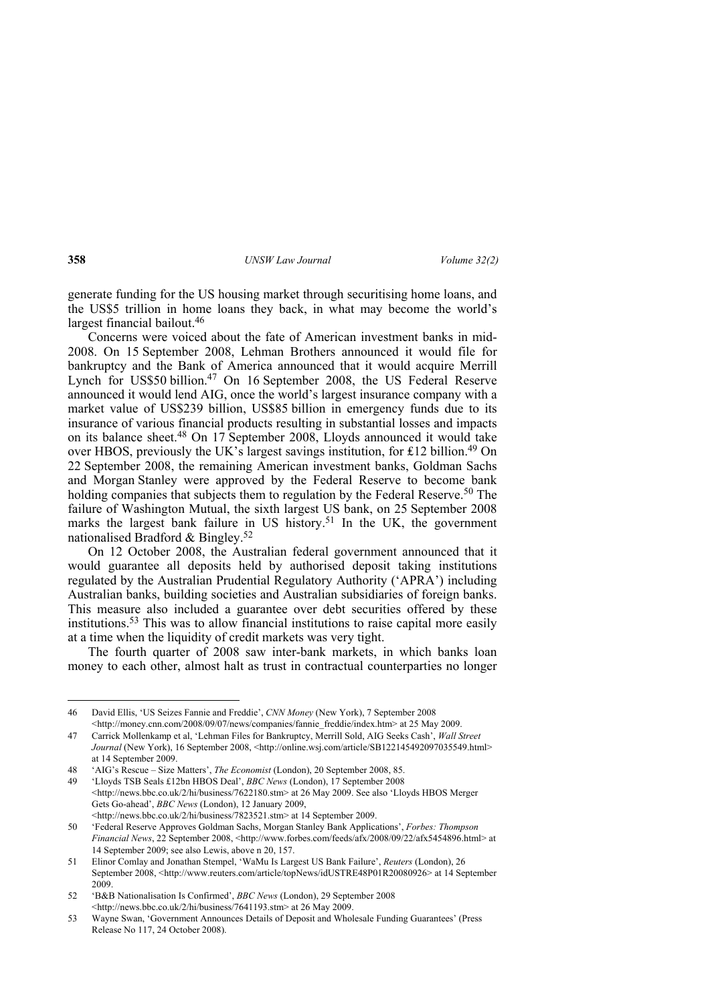generate funding for the US housing market through securitising home loans, and the US\$5 trillion in home loans they back, in what may become the world's largest financial bailout.46

Concerns were voiced about the fate of American investment banks in mid-2008. On 15 September 2008, Lehman Brothers announced it would file for bankruptcy and the Bank of America announced that it would acquire Merrill Lynch for US\$50 billion.47 On 16 September 2008, the US Federal Reserve announced it would lend AIG, once the world's largest insurance company with a market value of US\$239 billion, US\$85 billion in emergency funds due to its insurance of various financial products resulting in substantial losses and impacts on its balance sheet.48 On 17 September 2008, Lloyds announced it would take over HBOS, previously the UK's largest savings institution, for ₤12 billion.49 On 22 September 2008, the remaining American investment banks, Goldman Sachs and Morgan Stanley were approved by the Federal Reserve to become bank holding companies that subjects them to regulation by the Federal Reserve.<sup>50</sup> The failure of Washington Mutual, the sixth largest US bank, on 25 September 2008 marks the largest bank failure in US history.<sup>51</sup> In the UK, the government nationalised Bradford & Bingley.<sup>52</sup>

On 12 October 2008, the Australian federal government announced that it would guarantee all deposits held by authorised deposit taking institutions regulated by the Australian Prudential Regulatory Authority ('APRA') including Australian banks, building societies and Australian subsidiaries of foreign banks. This measure also included a guarantee over debt securities offered by these institutions.53 This was to allow financial institutions to raise capital more easily at a time when the liquidity of credit markets was very tight.

The fourth quarter of 2008 saw inter-bank markets, in which banks loan money to each other, almost halt as trust in contractual counterparties no longer

<sup>46</sup> David Ellis, 'US Seizes Fannie and Freddie', *CNN Money* (New York), 7 September 2008 <http://money.cnn.com/2008/09/07/news/companies/fannie\_freddie/index.htm> at 25 May 2009.

<sup>47</sup> Carrick Mollenkamp et al, 'Lehman Files for Bankruptcy, Merrill Sold, AIG Seeks Cash', *Wall Street*  Journal (New York), 16 September 2008, <http://online.wsj.com/article/SB122145492097035549.html> at 14 September 2009.

<sup>48 &#</sup>x27;AIG's Rescue – Size Matters', *The Economist* (London), 20 September 2008, 85.

<sup>49 &#</sup>x27;Lloyds TSB Seals £12bn HBOS Deal', *BBC News* (London), 17 September 2008 <http://news.bbc.co.uk/2/hi/business/7622180.stm> at 26 May 2009. See also 'Lloyds HBOS Merger Gets Go-ahead', *BBC News* (London), 12 January 2009, <http://news.bbc.co.uk/2/hi/business/7823521.stm> at 14 September 2009.

<sup>50 &#</sup>x27;Federal Reserve Approves Goldman Sachs, Morgan Stanley Bank Applications', *Forbes: Thompson Financial News*, 22 September 2008, <http://www.forbes.com/feeds/afx/2008/09/22/afx5454896.html> at 14 September 2009; see also Lewis, above n 20, 157.

<sup>51</sup> Elinor Comlay and Jonathan Stempel, 'WaMu Is Largest US Bank Failure', *Reuters* (London), 26 September 2008, <http://www.reuters.com/article/topNews/idUSTRE48P01R20080926> at 14 September 2009.

<sup>52 &#</sup>x27;B&B Nationalisation Is Confirmed', *BBC News* (London), 29 September 2008  $\leq$ http://news.bbc.co.uk/2/hi/business/7641193.stm> at 26 May 2009.

<sup>53</sup> Wayne Swan, 'Government Announces Details of Deposit and Wholesale Funding Guarantees' (Press Release No 117, 24 October 2008).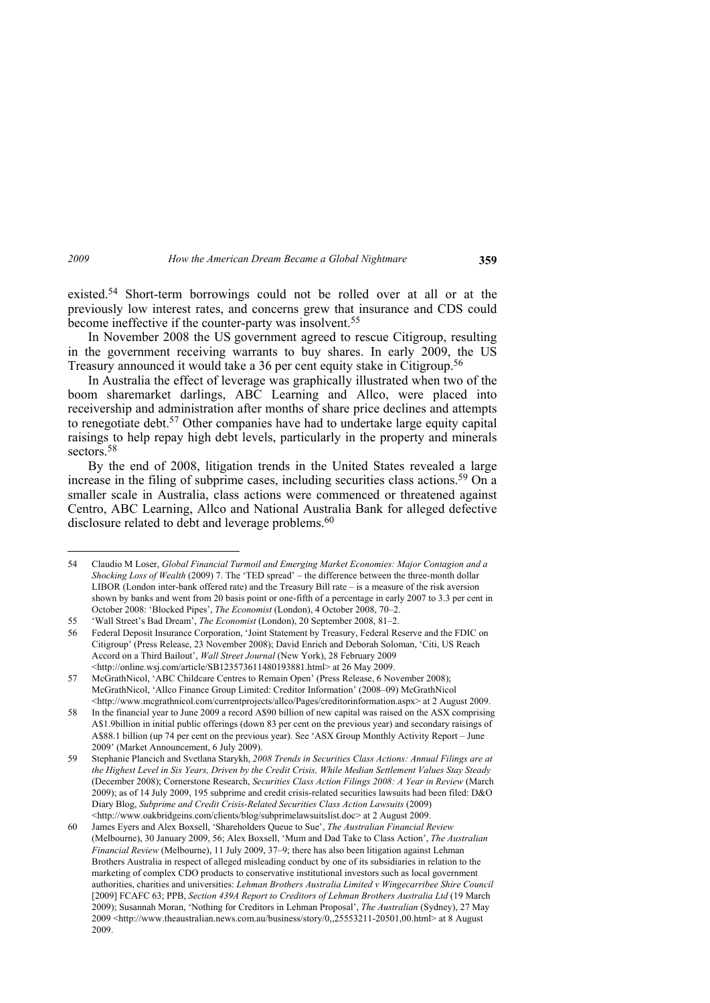existed.54 Short-term borrowings could not be rolled over at all or at the previously low interest rates, and concerns grew that insurance and CDS could become ineffective if the counter-party was insolvent.<sup>55</sup>

In November 2008 the US government agreed to rescue Citigroup, resulting in the government receiving warrants to buy shares. In early 2009, the US Treasury announced it would take a 36 per cent equity stake in Citigroup.56

In Australia the effect of leverage was graphically illustrated when two of the boom sharemarket darlings, ABC Learning and Allco, were placed into receivership and administration after months of share price declines and attempts to renegotiate debt.57 Other companies have had to undertake large equity capital raisings to help repay high debt levels, particularly in the property and minerals sectors<sup>58</sup>

By the end of 2008, litigation trends in the United States revealed a large increase in the filing of subprime cases, including securities class actions.<sup>59</sup> On a smaller scale in Australia, class actions were commenced or threatened against Centro, ABC Learning, Allco and National Australia Bank for alleged defective disclosure related to debt and leverage problems.<sup>60</sup>

<sup>54</sup> Claudio M Loser, *Global Financial Turmoil and Emerging Market Economies: Major Contagion and a Shocking Loss of Wealth* (2009) 7. The 'TED spread' – the difference between the three-month dollar LIBOR (London inter-bank offered rate) and the Treasury Bill rate – is a measure of the risk aversion shown by banks and went from 20 basis point or one-fifth of a percentage in early 2007 to 3.3 per cent in October 2008: 'Blocked Pipes', *The Economist* (London), 4 October 2008, 70–2.

<sup>55 &#</sup>x27;Wall Street's Bad Dream', *The Economist* (London), 20 September 2008, 81–2.

<sup>56</sup> Federal Deposit Insurance Corporation, 'Joint Statement by Treasury, Federal Reserve and the FDIC on Citigroup' (Press Release, 23 November 2008); David Enrich and Deborah Soloman, 'Citi, US Reach Accord on a Third Bailout', *Wall Street Journal* (New York), 28 February 2009 <http://online.wsj.com/article/SB123573611480193881.html> at 26 May 2009.

<sup>57</sup> McGrathNicol, 'ABC Childcare Centres to Remain Open' (Press Release, 6 November 2008); McGrathNicol, 'Allco Finance Group Limited: Creditor Information' (2008–09) McGrathNicol <http://www.mcgrathnicol.com/currentprojects/allco/Pages/creditorinformation.aspx> at 2 August 2009.

<sup>58</sup> In the financial year to June 2009 a record A\$90 billion of new capital was raised on the ASX comprising A\$1.9billion in initial public offerings (down 83 per cent on the previous year) and secondary raisings of A\$88.1 billion (up 74 per cent on the previous year). See 'ASX Group Monthly Activity Report – June 2009' (Market Announcement, 6 July 2009).

<sup>59</sup> Stephanie Plancich and Svetlana Starykh, *2008 Trends in Securities Class Actions: Annual Filings are at the Highest Level in Six Years, Driven by the Credit Crisis, While Median Settlement Values Stay Steady* (December 2008); Cornerstone Research, *Securities Class Action Filings 2008: A Year in Review* (March 2009); as of 14 July 2009, 195 subprime and credit crisis-related securities lawsuits had been filed: D&O Diary Blog, *Subprime and Credit Crisis-Related Securities Class Action Lawsuits* (2009) <http://www.oakbridgeins.com/clients/blog/subprimelawsuitslist.doc> at 2 August 2009.

<sup>60</sup> James Eyers and Alex Boxsell, 'Shareholders Queue to Sue', *The Australian Financial Review* (Melbourne), 30 January 2009, 56; Alex Boxsell, 'Mum and Dad Take to Class Action', *The Australian Financial Review* (Melbourne), 11 July 2009, 37–9; there has also been litigation against Lehman Brothers Australia in respect of alleged misleading conduct by one of its subsidiaries in relation to the marketing of complex CDO products to conservative institutional investors such as local government authorities, charities and universities: *Lehman Brothers Australia Limited v Wingecarribee Shire Council*  [2009] FCAFC 63; PPB, *Section 439A Report to Creditors of Lehman Brothers Australia Ltd* (19 March 2009); Susannah Moran, 'Nothing for Creditors in Lehman Proposal', *The Australian* (Sydney), 27 May 2009 <http://www.theaustralian.news.com.au/business/story/0,,25553211-20501,00.html> at 8 August 2009.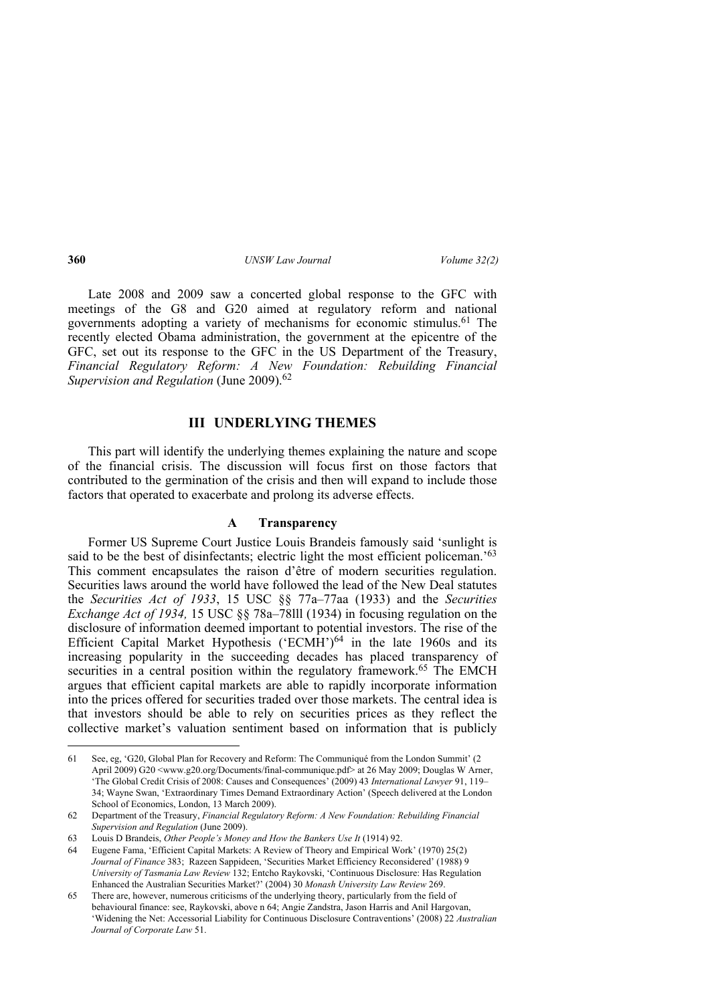Late 2008 and 2009 saw a concerted global response to the GFC with meetings of the G8 and G20 aimed at regulatory reform and national governments adopting a variety of mechanisms for economic stimulus.61 The recently elected Obama administration, the government at the epicentre of the GFC, set out its response to the GFC in the US Department of the Treasury, *Financial Regulatory Reform: A New Foundation: Rebuilding Financial Supervision and Regulation* (June 2009).62

# **III UNDERLYING THEMES**

This part will identify the underlying themes explaining the nature and scope of the financial crisis. The discussion will focus first on those factors that contributed to the germination of the crisis and then will expand to include those factors that operated to exacerbate and prolong its adverse effects.

#### **A Transparency**

Former US Supreme Court Justice Louis Brandeis famously said 'sunlight is said to be the best of disinfectants; electric light the most efficient policeman.<sup>'63</sup> This comment encapsulates the raison d'être of modern securities regulation. Securities laws around the world have followed the lead of the New Deal statutes the *Securities Act of 1933*, 15 USC §§ 77a–77aa (1933) and the *Securities Exchange Act of 1934,* 15 USC §§ 78a–78lll (1934) in focusing regulation on the disclosure of information deemed important to potential investors. The rise of the Efficient Capital Market Hypothesis ('ECMH')<sup>64</sup> in the late 1960s and its increasing popularity in the succeeding decades has placed transparency of securities in a central position within the regulatory framework.<sup>65</sup> The EMCH argues that efficient capital markets are able to rapidly incorporate information into the prices offered for securities traded over those markets. The central idea is that investors should be able to rely on securities prices as they reflect the collective market's valuation sentiment based on information that is publicly

<sup>61</sup> See, eg, 'G20, Global Plan for Recovery and Reform: The Communiqué from the London Summit' (2 April 2009) G20 <www.g20.org/Documents/final-communique.pdf> at 26 May 2009; Douglas W Arner, 'The Global Credit Crisis of 2008: Causes and Consequences' (2009) 43 *International Lawyer* 91, 119– 34; Wayne Swan, 'Extraordinary Times Demand Extraordinary Action' (Speech delivered at the London School of Economics, London, 13 March 2009).

<sup>62</sup> Department of the Treasury, *Financial Regulatory Reform: A New Foundation: Rebuilding Financial Supervision and Regulation* (June 2009).

<sup>63</sup> Louis D Brandeis, *Other People's Money and How the Bankers Use It* (1914) 92.

<sup>64</sup> Eugene Fama, 'Efficient Capital Markets: A Review of Theory and Empirical Work' (1970) 25(2) *Journal of Finance* 383; Razeen Sappideen, 'Securities Market Efficiency Reconsidered' (1988) 9 *University of Tasmania Law Review* 132; Entcho Raykovski, 'Continuous Disclosure: Has Regulation Enhanced the Australian Securities Market?' (2004) 30 *Monash University Law Review* 269.

<sup>65</sup> There are, however, numerous criticisms of the underlying theory, particularly from the field of behavioural finance: see, Raykovski, above n 64; Angie Zandstra, Jason Harris and Anil Hargovan, 'Widening the Net: Accessorial Liability for Continuous Disclosure Contraventions' (2008) 22 *Australian Journal of Corporate Law* 51.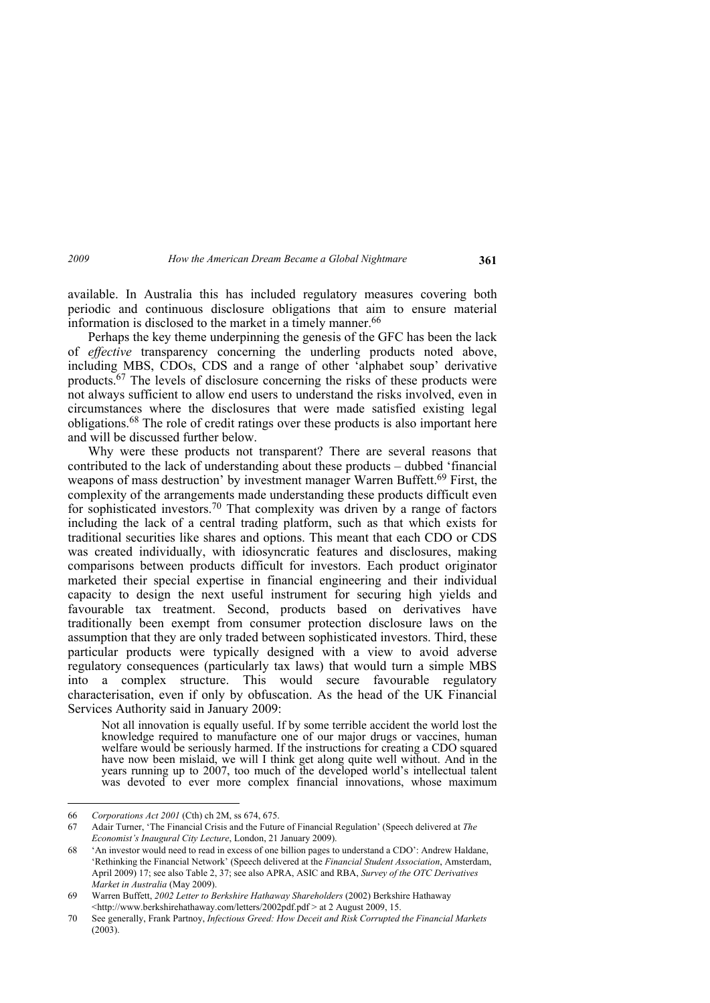available. In Australia this has included regulatory measures covering both periodic and continuous disclosure obligations that aim to ensure material information is disclosed to the market in a timely manner.<sup>66</sup>

Perhaps the key theme underpinning the genesis of the GFC has been the lack of *effective* transparency concerning the underling products noted above, including MBS, CDOs, CDS and a range of other 'alphabet soup' derivative products.67 The levels of disclosure concerning the risks of these products were not always sufficient to allow end users to understand the risks involved, even in circumstances where the disclosures that were made satisfied existing legal obligations.68 The role of credit ratings over these products is also important here and will be discussed further below.

Why were these products not transparent? There are several reasons that contributed to the lack of understanding about these products – dubbed 'financial weapons of mass destruction' by investment manager Warren Buffett.<sup>69</sup> First, the complexity of the arrangements made understanding these products difficult even for sophisticated investors.<sup>70</sup> That complexity was driven by a range of factors including the lack of a central trading platform, such as that which exists for traditional securities like shares and options. This meant that each CDO or CDS was created individually, with idiosyncratic features and disclosures, making comparisons between products difficult for investors. Each product originator marketed their special expertise in financial engineering and their individual capacity to design the next useful instrument for securing high yields and favourable tax treatment. Second, products based on derivatives have traditionally been exempt from consumer protection disclosure laws on the assumption that they are only traded between sophisticated investors. Third, these particular products were typically designed with a view to avoid adverse regulatory consequences (particularly tax laws) that would turn a simple MBS into a complex structure. This would secure favourable regulatory characterisation, even if only by obfuscation. As the head of the UK Financial Services Authority said in January 2009:

Not all innovation is equally useful. If by some terrible accident the world lost the knowledge required to manufacture one of our major drugs or vaccines, human welfare would be seriously harmed. If the instructions for creating a CDO squared have now been mislaid, we will I think get along quite well without. And in the years running up to 2007, too much of the developed world's intellectual talent was devoted to ever more complex financial innovations, whose maximum

<sup>66</sup> *Corporations Act 2001* (Cth) ch 2M, ss 674, 675.

<sup>67</sup> Adair Turner, 'The Financial Crisis and the Future of Financial Regulation' (Speech delivered at *The Economist's Inaugural City Lecture*, London, 21 January 2009).

<sup>68 &#</sup>x27;An investor would need to read in excess of one billion pages to understand a CDO': Andrew Haldane, 'Rethinking the Financial Network' (Speech delivered at the *Financial Student Association*, Amsterdam, April 2009) 17; see also Table 2, 37; see also APRA, ASIC and RBA, *Survey of the OTC Derivatives Market in Australia* (May 2009).

<sup>69</sup> Warren Buffett, *2002 Letter to Berkshire Hathaway Shareholders* (2002) Berkshire Hathaway <http://www.berkshirehathaway.com/letters/2002pdf.pdf > at 2 August 2009, 15.

<sup>70</sup> See generally, Frank Partnoy, *Infectious Greed: How Deceit and Risk Corrupted the Financial Markets*   $(2003)$ .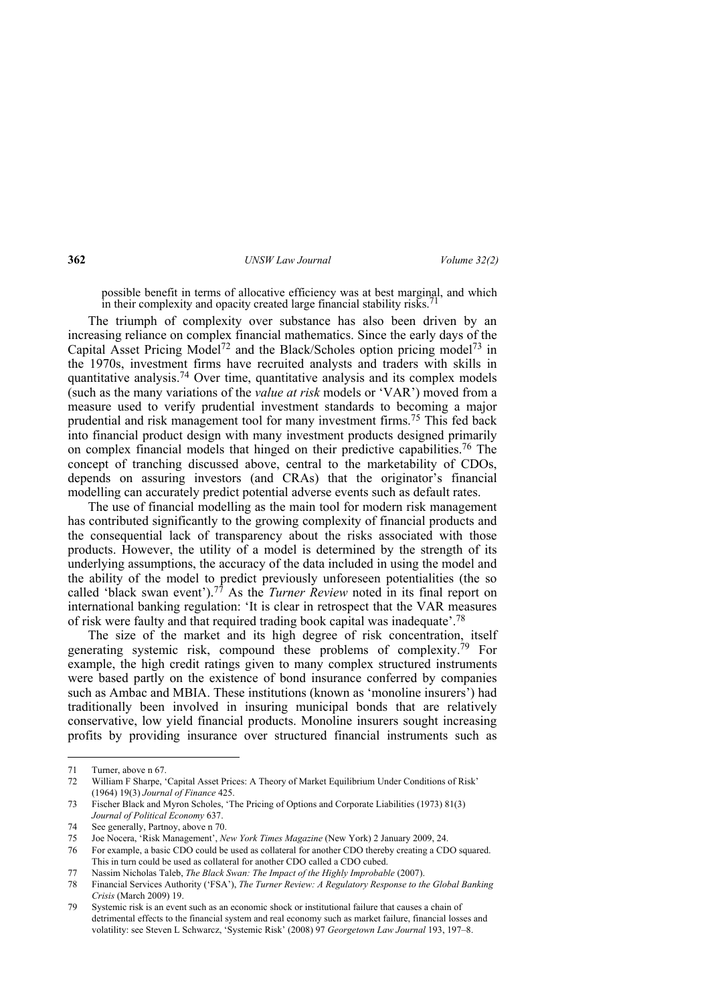possible benefit in terms of allocative efficiency was at best marginal, and which in their complexity and opacity created large financial stability risks.

The triumph of complexity over substance has also been driven by an increasing reliance on complex financial mathematics. Since the early days of the Capital Asset Pricing Model<sup>72</sup> and the Black/Scholes option pricing model<sup>73</sup> in the 1970s, investment firms have recruited analysts and traders with skills in quantitative analysis.74 Over time, quantitative analysis and its complex models (such as the many variations of the *value at risk* models or 'VAR') moved from a measure used to verify prudential investment standards to becoming a major prudential and risk management tool for many investment firms.75 This fed back into financial product design with many investment products designed primarily on complex financial models that hinged on their predictive capabilities.76 The concept of tranching discussed above, central to the marketability of CDOs, depends on assuring investors (and CRAs) that the originator's financial modelling can accurately predict potential adverse events such as default rates.

The use of financial modelling as the main tool for modern risk management has contributed significantly to the growing complexity of financial products and the consequential lack of transparency about the risks associated with those products. However, the utility of a model is determined by the strength of its underlying assumptions, the accuracy of the data included in using the model and the ability of the model to predict previously unforeseen potentialities (the so called 'black swan event').<sup>77</sup> As the *Turner Review* noted in its final report on international banking regulation: 'It is clear in retrospect that the VAR measures of risk were faulty and that required trading book capital was inadequate'.78

The size of the market and its high degree of risk concentration, itself generating systemic risk, compound these problems of complexity.79 For example, the high credit ratings given to many complex structured instruments were based partly on the existence of bond insurance conferred by companies such as Ambac and MBIA. These institutions (known as 'monoline insurers') had traditionally been involved in insuring municipal bonds that are relatively conservative, low yield financial products. Monoline insurers sought increasing profits by providing insurance over structured financial instruments such as

<sup>71</sup> Turner, above n 67.

<sup>72</sup> William F Sharpe, 'Capital Asset Prices: A Theory of Market Equilibrium Under Conditions of Risk' (1964) 19(3) *Journal of Finance* 425.

<sup>73</sup> Fischer Black and Myron Scholes, 'The Pricing of Options and Corporate Liabilities (1973) 81(3) *Journal of Political Economy* 637.

<sup>74</sup> See generally, Partnoy, above n 70.

<sup>75</sup> Joe Nocera, 'Risk Management', *New York Times Magazine* (New York) 2 January 2009, 24.

<sup>76</sup> For example, a basic CDO could be used as collateral for another CDO thereby creating a CDO squared. This in turn could be used as collateral for another CDO called a CDO cubed.

<sup>77</sup> Nassim Nicholas Taleb, *The Black Swan: The Impact of the Highly Improbable* (2007).

<sup>78</sup> Financial Services Authority ('FSA'), *The Turner Review: A Regulatory Response to the Global Banking Crisis* (March 2009) 19.

<sup>79</sup> Systemic risk is an event such as an economic shock or institutional failure that causes a chain of detrimental effects to the financial system and real economy such as market failure, financial losses and volatility: see Steven L Schwarcz, 'Systemic Risk' (2008) 97 *Georgetown Law Journal* 193, 197–8.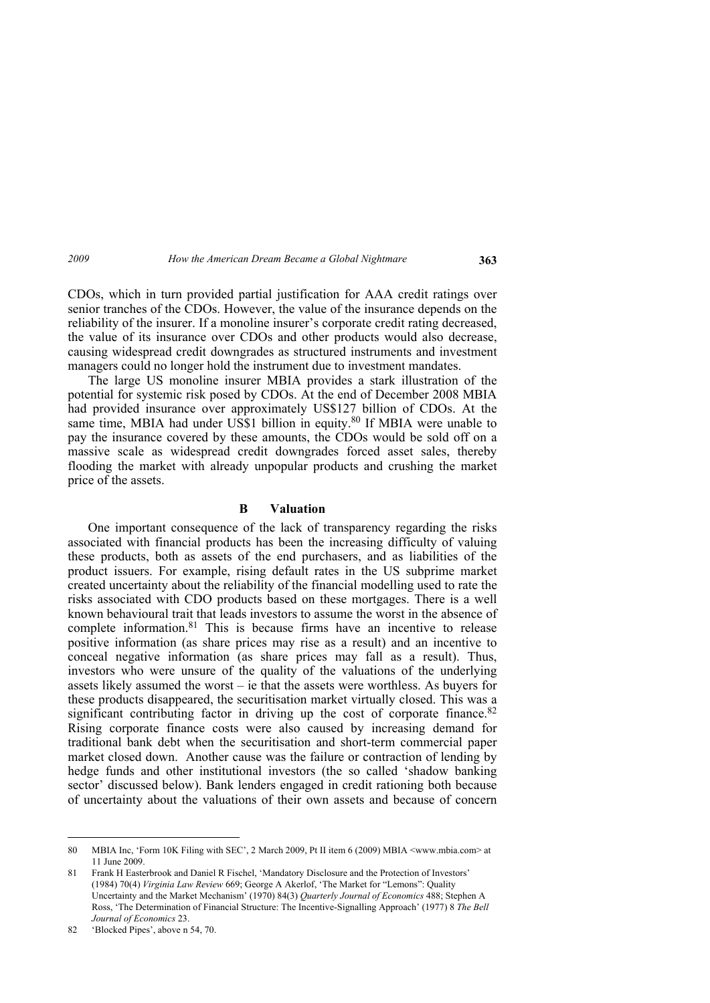CDOs, which in turn provided partial justification for AAA credit ratings over senior tranches of the CDOs. However, the value of the insurance depends on the reliability of the insurer. If a monoline insurer's corporate credit rating decreased, the value of its insurance over CDOs and other products would also decrease, causing widespread credit downgrades as structured instruments and investment managers could no longer hold the instrument due to investment mandates.

The large US monoline insurer MBIA provides a stark illustration of the potential for systemic risk posed by CDOs. At the end of December 2008 MBIA had provided insurance over approximately US\$127 billion of CDOs. At the same time, MBIA had under US\$1 billion in equity.<sup>80</sup> If MBIA were unable to pay the insurance covered by these amounts, the CDOs would be sold off on a massive scale as widespread credit downgrades forced asset sales, thereby flooding the market with already unpopular products and crushing the market price of the assets.

## **B Valuation**

One important consequence of the lack of transparency regarding the risks associated with financial products has been the increasing difficulty of valuing these products, both as assets of the end purchasers, and as liabilities of the product issuers. For example, rising default rates in the US subprime market created uncertainty about the reliability of the financial modelling used to rate the risks associated with CDO products based on these mortgages. There is a well known behavioural trait that leads investors to assume the worst in the absence of complete information.81 This is because firms have an incentive to release positive information (as share prices may rise as a result) and an incentive to conceal negative information (as share prices may fall as a result). Thus, investors who were unsure of the quality of the valuations of the underlying assets likely assumed the worst – ie that the assets were worthless. As buyers for these products disappeared, the securitisation market virtually closed. This was a significant contributing factor in driving up the cost of corporate finance. $82$ Rising corporate finance costs were also caused by increasing demand for traditional bank debt when the securitisation and short-term commercial paper market closed down. Another cause was the failure or contraction of lending by hedge funds and other institutional investors (the so called 'shadow banking sector' discussed below). Bank lenders engaged in credit rationing both because of uncertainty about the valuations of their own assets and because of concern

<sup>80</sup> MBIA Inc, 'Form 10K Filing with SEC', 2 March 2009, Pt II item 6 (2009) MBIA <www.mbia.com> at 11 June 2009.

<sup>81</sup> Frank H Easterbrook and Daniel R Fischel, 'Mandatory Disclosure and the Protection of Investors' (1984) 70(4) *Virginia Law Review* 669; George A Akerlof, 'The Market for "Lemons": Quality Uncertainty and the Market Mechanism' (1970) 84(3) *Quarterly Journal of Economics* 488; Stephen A Ross, 'The Determination of Financial Structure: The Incentive-Signalling Approach' (1977) 8 *The Bell Journal of Economics* 23.

<sup>82 &#</sup>x27;Blocked Pipes', above n 54, 70.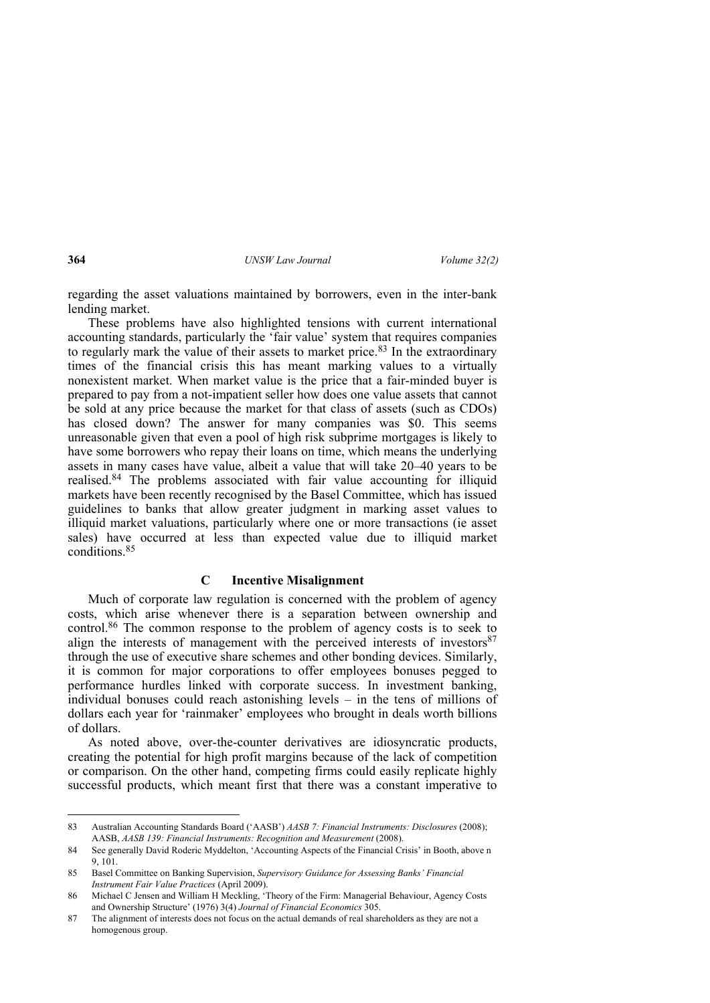regarding the asset valuations maintained by borrowers, even in the inter-bank lending market.

These problems have also highlighted tensions with current international accounting standards, particularly the 'fair value' system that requires companies to regularly mark the value of their assets to market price.<sup>83</sup> In the extraordinary times of the financial crisis this has meant marking values to a virtually nonexistent market. When market value is the price that a fair-minded buyer is prepared to pay from a not-impatient seller how does one value assets that cannot be sold at any price because the market for that class of assets (such as CDOs) has closed down? The answer for many companies was \$0. This seems unreasonable given that even a pool of high risk subprime mortgages is likely to have some borrowers who repay their loans on time, which means the underlying assets in many cases have value, albeit a value that will take 20–40 years to be realised.84 The problems associated with fair value accounting for illiquid markets have been recently recognised by the Basel Committee, which has issued guidelines to banks that allow greater judgment in marking asset values to illiquid market valuations, particularly where one or more transactions (ie asset sales) have occurred at less than expected value due to illiquid market conditions.85

# **C Incentive Misalignment**

Much of corporate law regulation is concerned with the problem of agency costs, which arise whenever there is a separation between ownership and control.86 The common response to the problem of agency costs is to seek to align the interests of management with the perceived interests of investors $87$ through the use of executive share schemes and other bonding devices. Similarly, it is common for major corporations to offer employees bonuses pegged to performance hurdles linked with corporate success. In investment banking, individual bonuses could reach astonishing levels – in the tens of millions of dollars each year for 'rainmaker' employees who brought in deals worth billions of dollars.

As noted above, over-the-counter derivatives are idiosyncratic products, creating the potential for high profit margins because of the lack of competition or comparison. On the other hand, competing firms could easily replicate highly successful products, which meant first that there was a constant imperative to

<sup>83</sup> Australian Accounting Standards Board ('AASB') *AASB 7: Financial Instruments: Disclosures* (2008); AASB, *AASB 139: Financial Instruments: Recognition and Measurement* (2008).

<sup>84</sup> See generally David Roderic Myddelton, 'Accounting Aspects of the Financial Crisis' in Booth, above n 9, 101.

<sup>85</sup> Basel Committee on Banking Supervision, *Supervisory Guidance for Assessing Banks' Financial Instrument Fair Value Practices* (April 2009).

<sup>86</sup> Michael C Jensen and William H Meckling, 'Theory of the Firm: Managerial Behaviour, Agency Costs and Ownership Structure' (1976) 3(4) *Journal of Financial Economics* 305.

<sup>87</sup> The alignment of interests does not focus on the actual demands of real shareholders as they are not a homogenous group.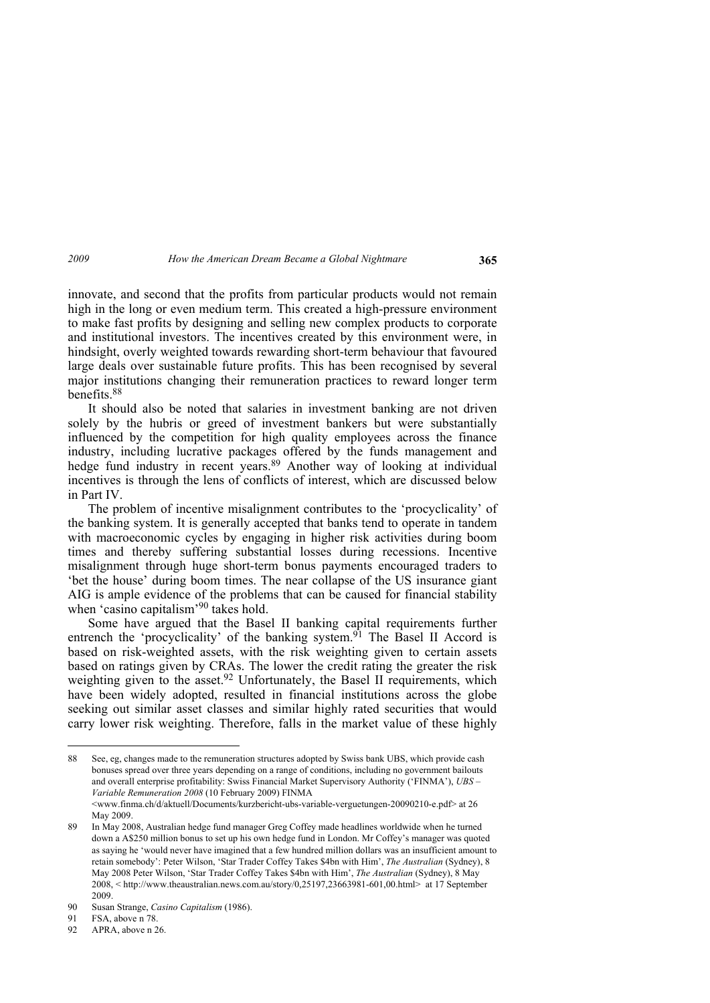innovate, and second that the profits from particular products would not remain high in the long or even medium term. This created a high-pressure environment to make fast profits by designing and selling new complex products to corporate and institutional investors. The incentives created by this environment were, in hindsight, overly weighted towards rewarding short-term behaviour that favoured large deals over sustainable future profits. This has been recognised by several major institutions changing their remuneration practices to reward longer term benefits.88

It should also be noted that salaries in investment banking are not driven solely by the hubris or greed of investment bankers but were substantially influenced by the competition for high quality employees across the finance industry, including lucrative packages offered by the funds management and hedge fund industry in recent years.89 Another way of looking at individual incentives is through the lens of conflicts of interest, which are discussed below in Part IV.

The problem of incentive misalignment contributes to the 'procyclicality' of the banking system. It is generally accepted that banks tend to operate in tandem with macroeconomic cycles by engaging in higher risk activities during boom times and thereby suffering substantial losses during recessions. Incentive misalignment through huge short-term bonus payments encouraged traders to 'bet the house' during boom times. The near collapse of the US insurance giant AIG is ample evidence of the problems that can be caused for financial stability when 'casino capitalism'<sup>90</sup> takes hold.

Some have argued that the Basel II banking capital requirements further entrench the 'procyclicality' of the banking system.<sup>91</sup> The Basel II Accord is based on risk-weighted assets, with the risk weighting given to certain assets based on ratings given by CRAs. The lower the credit rating the greater the risk weighting given to the asset.<sup>92</sup> Unfortunately, the Basel II requirements, which have been widely adopted, resulted in financial institutions across the globe seeking out similar asset classes and similar highly rated securities that would carry lower risk weighting. Therefore, falls in the market value of these highly

<sup>88</sup> See, eg, changes made to the remuneration structures adopted by Swiss bank UBS, which provide cash bonuses spread over three years depending on a range of conditions, including no government bailouts and overall enterprise profitability: Swiss Financial Market Supervisory Authority ('FINMA'), *UBS – Variable Remuneration 2008* (10 February 2009) FINMA <www.finma.ch/d/aktuell/Documents/kurzbericht-ubs-variable-verguetungen-20090210-e.pdf> at 26 May 2009.

<sup>89</sup> In May 2008, Australian hedge fund manager Greg Coffey made headlines worldwide when he turned down a A\$250 million bonus to set up his own hedge fund in London. Mr Coffey's manager was quoted as saying he 'would never have imagined that a few hundred million dollars was an insufficient amount to retain somebody': Peter Wilson, 'Star Trader Coffey Takes \$4bn with Him', *The Australian* (Sydney), 8 May 2008 Peter Wilson, 'Star Trader Coffey Takes \$4bn with Him', *The Australian* (Sydney), 8 May 2008, < http://www.theaustralian.news.com.au/story/0,25197,23663981-601,00.html> at 17 September 2009.

<sup>90</sup> Susan Strange, *Casino Capitalism* (1986).

<sup>91</sup> FSA, above n 78.

<sup>92</sup> APRA, above n 26.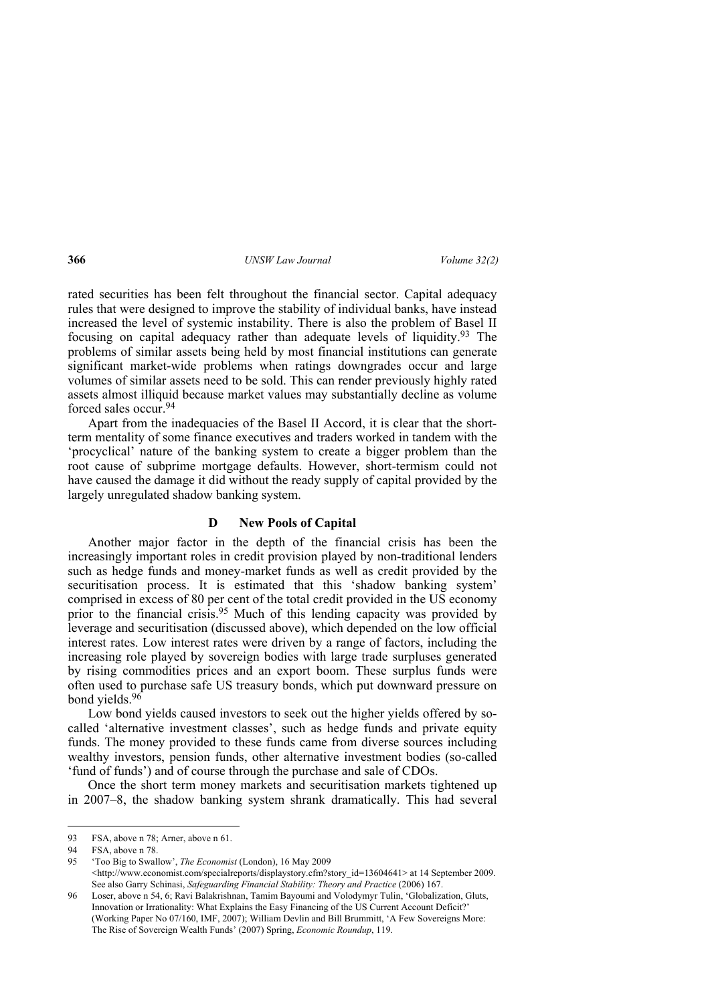rated securities has been felt throughout the financial sector. Capital adequacy rules that were designed to improve the stability of individual banks, have instead increased the level of systemic instability. There is also the problem of Basel II focusing on capital adequacy rather than adequate levels of liquidity.93 The problems of similar assets being held by most financial institutions can generate significant market-wide problems when ratings downgrades occur and large volumes of similar assets need to be sold. This can render previously highly rated assets almost illiquid because market values may substantially decline as volume forced sales occur.94

Apart from the inadequacies of the Basel II Accord, it is clear that the shortterm mentality of some finance executives and traders worked in tandem with the 'procyclical' nature of the banking system to create a bigger problem than the root cause of subprime mortgage defaults. However, short-termism could not have caused the damage it did without the ready supply of capital provided by the largely unregulated shadow banking system.

## **D New Pools of Capital**

Another major factor in the depth of the financial crisis has been the increasingly important roles in credit provision played by non-traditional lenders such as hedge funds and money-market funds as well as credit provided by the securitisation process. It is estimated that this 'shadow banking system' comprised in excess of 80 per cent of the total credit provided in the US economy prior to the financial crisis.<sup>95</sup> Much of this lending capacity was provided by leverage and securitisation (discussed above), which depended on the low official interest rates. Low interest rates were driven by a range of factors, including the increasing role played by sovereign bodies with large trade surpluses generated by rising commodities prices and an export boom. These surplus funds were often used to purchase safe US treasury bonds, which put downward pressure on bond yields.96

Low bond yields caused investors to seek out the higher yields offered by socalled 'alternative investment classes', such as hedge funds and private equity funds. The money provided to these funds came from diverse sources including wealthy investors, pension funds, other alternative investment bodies (so-called 'fund of funds') and of course through the purchase and sale of CDOs.

Once the short term money markets and securitisation markets tightened up in 2007–8, the shadow banking system shrank dramatically. This had several

<sup>93</sup> FSA, above n 78; Arner, above n 61.

<sup>94</sup> FSA, above n 78.

<sup>95 &#</sup>x27;Too Big to Swallow', *The Economist* (London), 16 May 2009 <http://www.economist.com/specialreports/displaystory.cfm?story\_id=13604641> at 14 September 2009. See also Garry Schinasi, *Safeguarding Financial Stability: Theory and Practice* (2006) 167.

<sup>96</sup> Loser, above n 54, 6; Ravi Balakrishnan, Tamim Bayoumi and Volodymyr Tulin, 'Globalization, Gluts, Innovation or Irrationality: What Explains the Easy Financing of the US Current Account Deficit?' (Working Paper No 07/160, IMF, 2007); William Devlin and Bill Brummitt, 'A Few Sovereigns More: The Rise of Sovereign Wealth Funds' (2007) Spring, *Economic Roundup*, 119.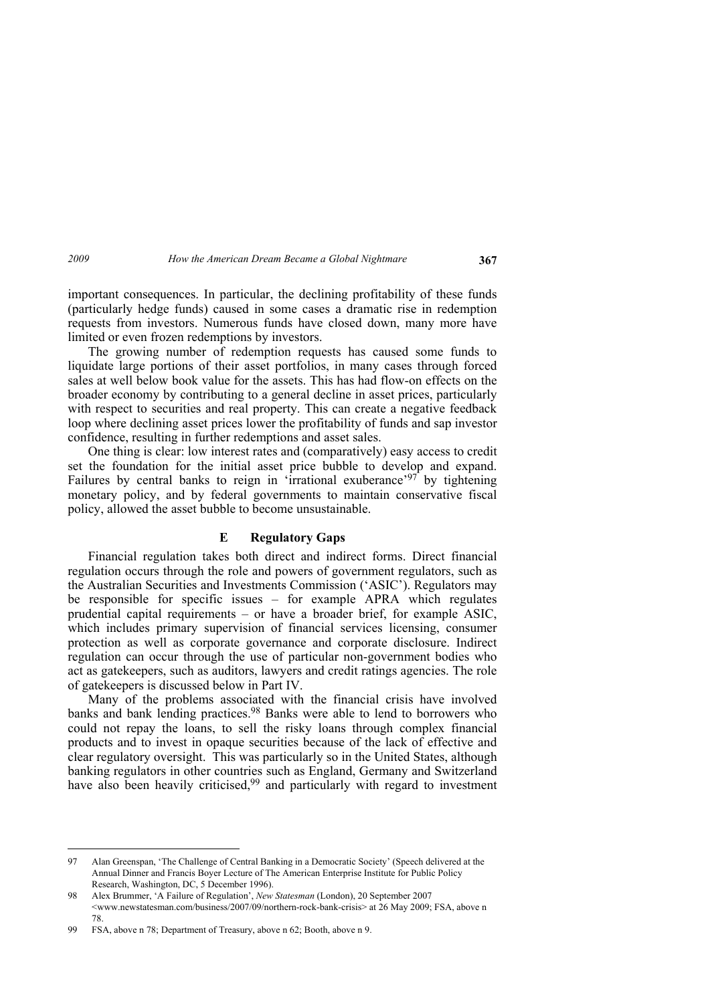important consequences. In particular, the declining profitability of these funds (particularly hedge funds) caused in some cases a dramatic rise in redemption requests from investors. Numerous funds have closed down, many more have limited or even frozen redemptions by investors.

The growing number of redemption requests has caused some funds to liquidate large portions of their asset portfolios, in many cases through forced sales at well below book value for the assets. This has had flow-on effects on the broader economy by contributing to a general decline in asset prices, particularly with respect to securities and real property. This can create a negative feedback loop where declining asset prices lower the profitability of funds and sap investor confidence, resulting in further redemptions and asset sales.

One thing is clear: low interest rates and (comparatively) easy access to credit set the foundation for the initial asset price bubble to develop and expand. Failures by central banks to reign in 'irrational exuberance'<sup>97</sup> by tightening monetary policy, and by federal governments to maintain conservative fiscal policy, allowed the asset bubble to become unsustainable.

#### **E Regulatory Gaps**

Financial regulation takes both direct and indirect forms. Direct financial regulation occurs through the role and powers of government regulators, such as the Australian Securities and Investments Commission ('ASIC'). Regulators may be responsible for specific issues – for example APRA which regulates prudential capital requirements – or have a broader brief, for example ASIC, which includes primary supervision of financial services licensing, consumer protection as well as corporate governance and corporate disclosure. Indirect regulation can occur through the use of particular non-government bodies who act as gatekeepers, such as auditors, lawyers and credit ratings agencies. The role of gatekeepers is discussed below in Part IV.

Many of the problems associated with the financial crisis have involved banks and bank lending practices.<sup>98</sup> Banks were able to lend to borrowers who could not repay the loans, to sell the risky loans through complex financial products and to invest in opaque securities because of the lack of effective and clear regulatory oversight. This was particularly so in the United States, although banking regulators in other countries such as England, Germany and Switzerland have also been heavily criticised,<sup>99</sup> and particularly with regard to investment

<sup>97</sup> Alan Greenspan, 'The Challenge of Central Banking in a Democratic Society' (Speech delivered at the Annual Dinner and Francis Boyer Lecture of The American Enterprise Institute for Public Policy Research, Washington, DC, 5 December 1996).

<sup>98</sup> Alex Brummer, 'A Failure of Regulation', *New Statesman* (London), 20 September 2007

<sup>&</sup>lt;www.newstatesman.com/business/2007/09/northern-rock-bank-crisis> at 26 May 2009; FSA, above n 78.

<sup>99</sup> FSA, above n 78; Department of Treasury, above n 62; Booth, above n 9.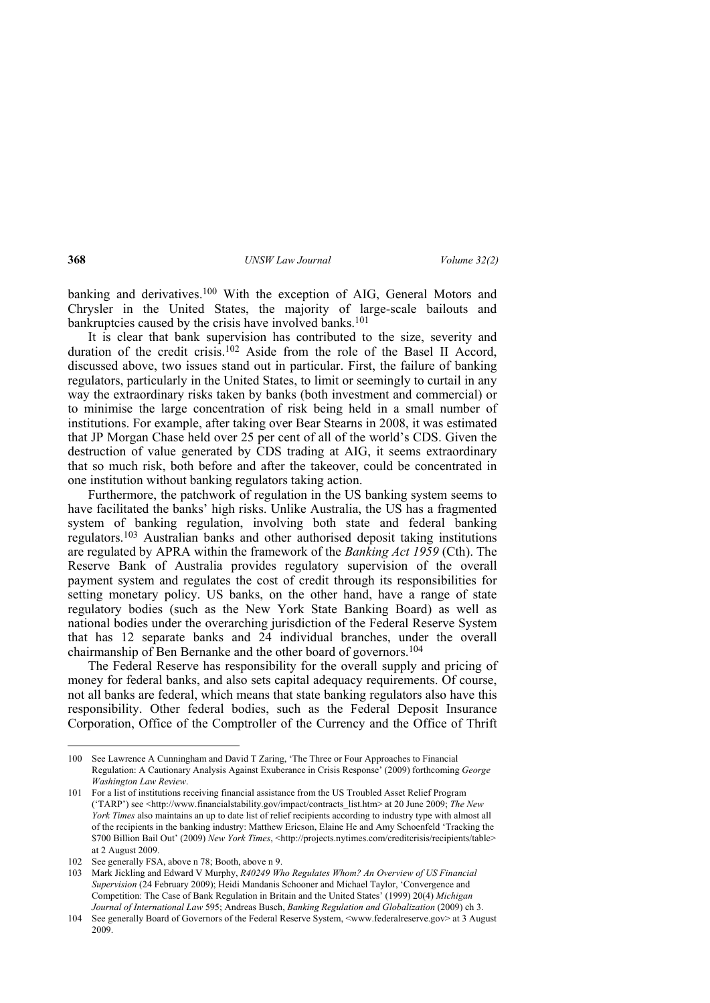banking and derivatives.<sup>100</sup> With the exception of AIG, General Motors and Chrysler in the United States, the majority of large-scale bailouts and bankruptcies caused by the crisis have involved banks.<sup>101</sup>

It is clear that bank supervision has contributed to the size, severity and duration of the credit crisis.<sup>102</sup> Aside from the role of the Basel II Accord, discussed above, two issues stand out in particular. First, the failure of banking regulators, particularly in the United States, to limit or seemingly to curtail in any way the extraordinary risks taken by banks (both investment and commercial) or to minimise the large concentration of risk being held in a small number of institutions. For example, after taking over Bear Stearns in 2008, it was estimated that JP Morgan Chase held over 25 per cent of all of the world's CDS. Given the destruction of value generated by CDS trading at AIG, it seems extraordinary that so much risk, both before and after the takeover, could be concentrated in one institution without banking regulators taking action.

Furthermore, the patchwork of regulation in the US banking system seems to have facilitated the banks' high risks. Unlike Australia, the US has a fragmented system of banking regulation, involving both state and federal banking regulators.103 Australian banks and other authorised deposit taking institutions are regulated by APRA within the framework of the *Banking Act 1959* (Cth). The Reserve Bank of Australia provides regulatory supervision of the overall payment system and regulates the cost of credit through its responsibilities for setting monetary policy. US banks, on the other hand, have a range of state regulatory bodies (such as the New York State Banking Board) as well as national bodies under the overarching jurisdiction of the Federal Reserve System that has 12 separate banks and 24 individual branches, under the overall chairmanship of Ben Bernanke and the other board of governors.104

The Federal Reserve has responsibility for the overall supply and pricing of money for federal banks, and also sets capital adequacy requirements. Of course, not all banks are federal, which means that state banking regulators also have this responsibility. Other federal bodies, such as the Federal Deposit Insurance Corporation, Office of the Comptroller of the Currency and the Office of Thrift

<sup>100</sup> See Lawrence A Cunningham and David T Zaring, 'The Three or Four Approaches to Financial Regulation: A Cautionary Analysis Against Exuberance in Crisis Response' (2009) forthcoming *George Washington Law Review*.

<sup>101</sup> For a list of institutions receiving financial assistance from the US Troubled Asset Relief Program ('TARP') see <http://www.financialstability.gov/impact/contracts\_list.htm> at 20 June 2009; *The New York Times* also maintains an up to date list of relief recipients according to industry type with almost all of the recipients in the banking industry: Matthew Ericson, Elaine He and Amy Schoenfeld 'Tracking the \$700 Billion Bail Out' (2009) *New York Times*, <http://projects.nytimes.com/creditcrisis/recipients/table> at 2 August 2009.

<sup>102</sup> See generally FSA, above n 78; Booth, above n 9.

<sup>103</sup> Mark Jickling and Edward V Murphy, *R40249 Who Regulates Whom? An Overview of US Financial Supervision* (24 February 2009); Heidi Mandanis Schooner and Michael Taylor, 'Convergence and Competition: The Case of Bank Regulation in Britain and the United States' (1999) 20(4) *Michigan Journal of International Law* 595; Andreas Busch, *Banking Regulation and Globalization* (2009) ch 3.

<sup>104</sup> See generally Board of Governors of the Federal Reserve System, <www.federalreserve.gov> at 3 August 2009.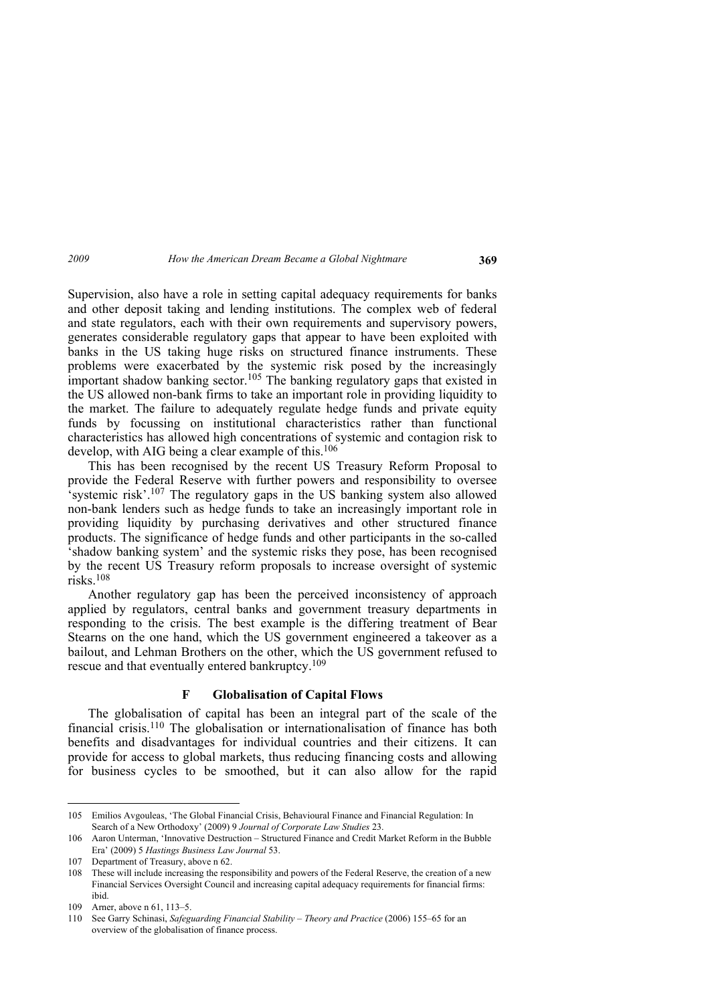Supervision, also have a role in setting capital adequacy requirements for banks and other deposit taking and lending institutions. The complex web of federal and state regulators, each with their own requirements and supervisory powers, generates considerable regulatory gaps that appear to have been exploited with banks in the US taking huge risks on structured finance instruments. These problems were exacerbated by the systemic risk posed by the increasingly important shadow banking sector.105 The banking regulatory gaps that existed in the US allowed non-bank firms to take an important role in providing liquidity to the market. The failure to adequately regulate hedge funds and private equity funds by focussing on institutional characteristics rather than functional characteristics has allowed high concentrations of systemic and contagion risk to develop, with AIG being a clear example of this.<sup>106</sup>

This has been recognised by the recent US Treasury Reform Proposal to provide the Federal Reserve with further powers and responsibility to oversee systemic risk'.<sup>107</sup> The regulatory gaps in the US banking system also allowed non-bank lenders such as hedge funds to take an increasingly important role in providing liquidity by purchasing derivatives and other structured finance products. The significance of hedge funds and other participants in the so-called 'shadow banking system' and the systemic risks they pose, has been recognised by the recent US Treasury reform proposals to increase oversight of systemic risks.108

Another regulatory gap has been the perceived inconsistency of approach applied by regulators, central banks and government treasury departments in responding to the crisis. The best example is the differing treatment of Bear Stearns on the one hand, which the US government engineered a takeover as a bailout, and Lehman Brothers on the other, which the US government refused to rescue and that eventually entered bankruptcy.<sup>109</sup>

## **F Globalisation of Capital Flows**

The globalisation of capital has been an integral part of the scale of the financial crisis.110 The globalisation or internationalisation of finance has both benefits and disadvantages for individual countries and their citizens. It can provide for access to global markets, thus reducing financing costs and allowing for business cycles to be smoothed, but it can also allow for the rapid

<sup>105</sup> Emilios Avgouleas, 'The Global Financial Crisis, Behavioural Finance and Financial Regulation: In Search of a New Orthodoxy' (2009) 9 *Journal of Corporate Law Studies* 23.

<sup>106</sup> Aaron Unterman, 'Innovative Destruction – Structured Finance and Credit Market Reform in the Bubble Era' (2009) 5 *Hastings Business Law Journal* 53.

<sup>107</sup> Department of Treasury, above n 62.

<sup>108</sup> These will include increasing the responsibility and powers of the Federal Reserve, the creation of a new Financial Services Oversight Council and increasing capital adequacy requirements for financial firms: ibid.

<sup>109</sup> Arner, above n 61, 113–5.

<sup>110</sup> See Garry Schinasi, *Safeguarding Financial Stability – Theory and Practice* (2006) 155–65 for an overview of the globalisation of finance process.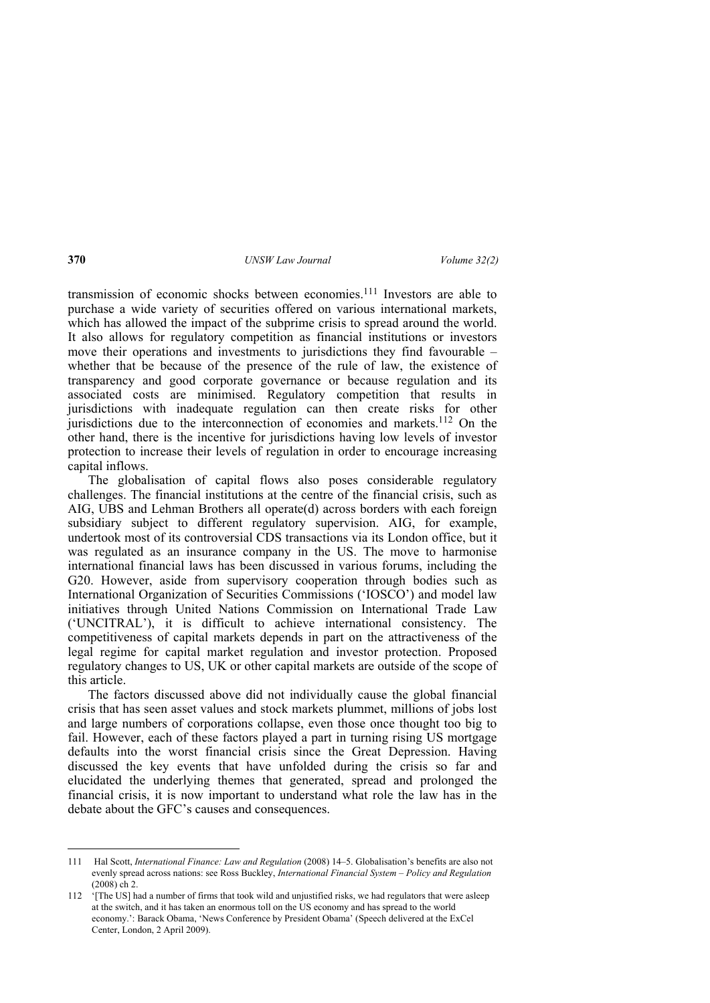transmission of economic shocks between economies.111 Investors are able to purchase a wide variety of securities offered on various international markets, which has allowed the impact of the subprime crisis to spread around the world. It also allows for regulatory competition as financial institutions or investors move their operations and investments to jurisdictions they find favourable – whether that be because of the presence of the rule of law, the existence of transparency and good corporate governance or because regulation and its associated costs are minimised. Regulatory competition that results in jurisdictions with inadequate regulation can then create risks for other jurisdictions due to the interconnection of economies and markets.<sup>112</sup> On the other hand, there is the incentive for jurisdictions having low levels of investor protection to increase their levels of regulation in order to encourage increasing capital inflows.

The globalisation of capital flows also poses considerable regulatory challenges. The financial institutions at the centre of the financial crisis, such as AIG, UBS and Lehman Brothers all operate(d) across borders with each foreign subsidiary subject to different regulatory supervision. AIG, for example, undertook most of its controversial CDS transactions via its London office, but it was regulated as an insurance company in the US. The move to harmonise international financial laws has been discussed in various forums, including the G20. However, aside from supervisory cooperation through bodies such as International Organization of Securities Commissions ('IOSCO') and model law initiatives through United Nations Commission on International Trade Law ('UNCITRAL'), it is difficult to achieve international consistency. The competitiveness of capital markets depends in part on the attractiveness of the legal regime for capital market regulation and investor protection. Proposed regulatory changes to US, UK or other capital markets are outside of the scope of this article.

The factors discussed above did not individually cause the global financial crisis that has seen asset values and stock markets plummet, millions of jobs lost and large numbers of corporations collapse, even those once thought too big to fail. However, each of these factors played a part in turning rising US mortgage defaults into the worst financial crisis since the Great Depression. Having discussed the key events that have unfolded during the crisis so far and elucidated the underlying themes that generated, spread and prolonged the financial crisis, it is now important to understand what role the law has in the debate about the GFC's causes and consequences.

<sup>111</sup> Hal Scott, *International Finance: Law and Regulation* (2008) 14–5. Globalisation's benefits are also not evenly spread across nations: see Ross Buckley, *International Financial System – Policy and Regulation* (2008) ch 2.

<sup>112 &#</sup>x27;[The US] had a number of firms that took wild and unjustified risks, we had regulators that were asleep at the switch, and it has taken an enormous toll on the US economy and has spread to the world economy.': Barack Obama, 'News Conference by President Obama' (Speech delivered at the ExCel Center, London, 2 April 2009).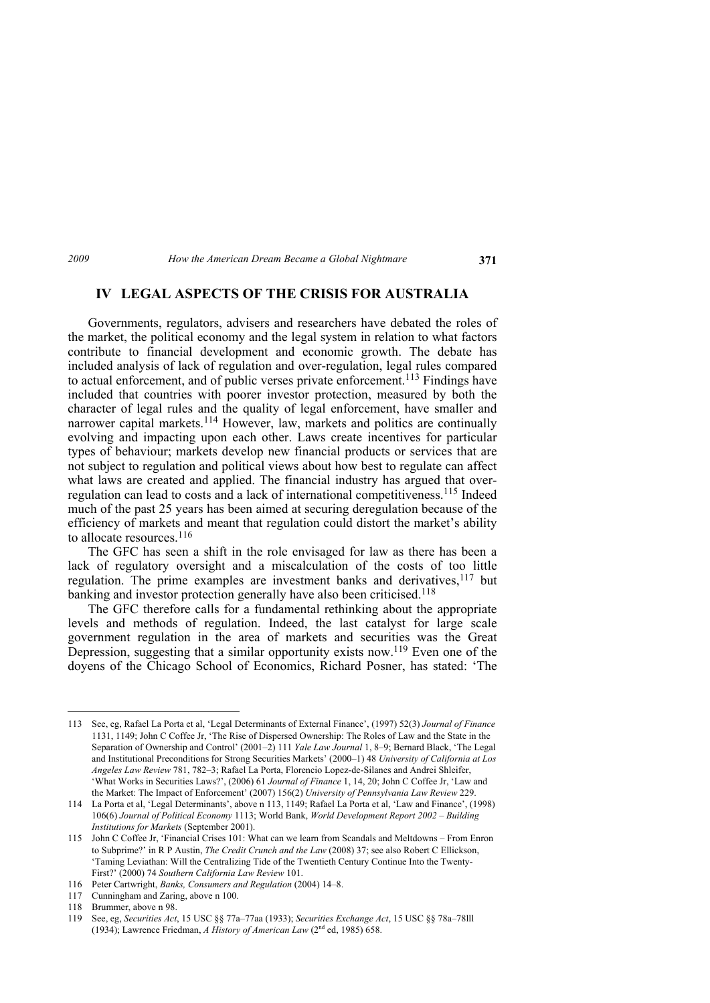# **IV LEGAL ASPECTS OF THE CRISIS FOR AUSTRALIA**

Governments, regulators, advisers and researchers have debated the roles of the market, the political economy and the legal system in relation to what factors contribute to financial development and economic growth. The debate has included analysis of lack of regulation and over-regulation, legal rules compared to actual enforcement, and of public verses private enforcement.<sup>113</sup> Findings have included that countries with poorer investor protection, measured by both the character of legal rules and the quality of legal enforcement, have smaller and narrower capital markets.<sup>114</sup> However, law, markets and politics are continually evolving and impacting upon each other. Laws create incentives for particular types of behaviour; markets develop new financial products or services that are not subject to regulation and political views about how best to regulate can affect what laws are created and applied. The financial industry has argued that overregulation can lead to costs and a lack of international competitiveness.115 Indeed much of the past 25 years has been aimed at securing deregulation because of the efficiency of markets and meant that regulation could distort the market's ability to allocate resources.<sup>116</sup>

The GFC has seen a shift in the role envisaged for law as there has been a lack of regulatory oversight and a miscalculation of the costs of too little regulation. The prime examples are investment banks and derivatives,<sup>117</sup> but banking and investor protection generally have also been criticised.<sup>118</sup>

The GFC therefore calls for a fundamental rethinking about the appropriate levels and methods of regulation. Indeed, the last catalyst for large scale government regulation in the area of markets and securities was the Great Depression, suggesting that a similar opportunity exists now.119 Even one of the doyens of the Chicago School of Economics, Richard Posner, has stated: 'The

<sup>113</sup> See, eg, Rafael La Porta et al, 'Legal Determinants of External Finance', (1997) 52(3) *Journal of Finance* 1131, 1149; John C Coffee Jr, 'The Rise of Dispersed Ownership: The Roles of Law and the State in the Separation of Ownership and Control' (2001–2) 111 *Yale Law Journal* 1, 8–9; Bernard Black, 'The Legal and Institutional Preconditions for Strong Securities Markets' (2000–1) 48 *University of California at Los Angeles Law Review* 781, 782–3; Rafael La Porta, Florencio Lopez-de-Silanes and Andrei Shleifer, 'What Works in Securities Laws?', (2006) 61 *Journal of Finance* 1, 14, 20; John C Coffee Jr, 'Law and the Market: The Impact of Enforcement' (2007) 156(2) *University of Pennsylvania Law Review* 229.

<sup>114</sup> La Porta et al, 'Legal Determinants', above n 113, 1149; Rafael La Porta et al, 'Law and Finance', (1998) 106(6) *Journal of Political Economy* 1113; World Bank, *World Development Report 2002 – Building Institutions for Markets* (September 2001).

<sup>115</sup> John C Coffee Jr, 'Financial Crises 101: What can we learn from Scandals and Meltdowns – From Enron to Subprime?' in R P Austin, *The Credit Crunch and the Law* (2008) 37; see also Robert C Ellickson, 'Taming Leviathan: Will the Centralizing Tide of the Twentieth Century Continue Into the Twenty-First?' (2000) 74 *Southern California Law Review* 101.

<sup>116</sup> Peter Cartwright, *Banks, Consumers and Regulation* (2004) 14–8.

<sup>117</sup> Cunningham and Zaring, above n 100.

<sup>118</sup> Brummer, above n 98.

<sup>119</sup> See, eg, *Securities Act*, 15 USC §§ 77a–77aa (1933); *Securities Exchange Act*, 15 USC §§ 78a–78lll (1934); Lawrence Friedman, *A History of American Law* (2nd ed, 1985) 658.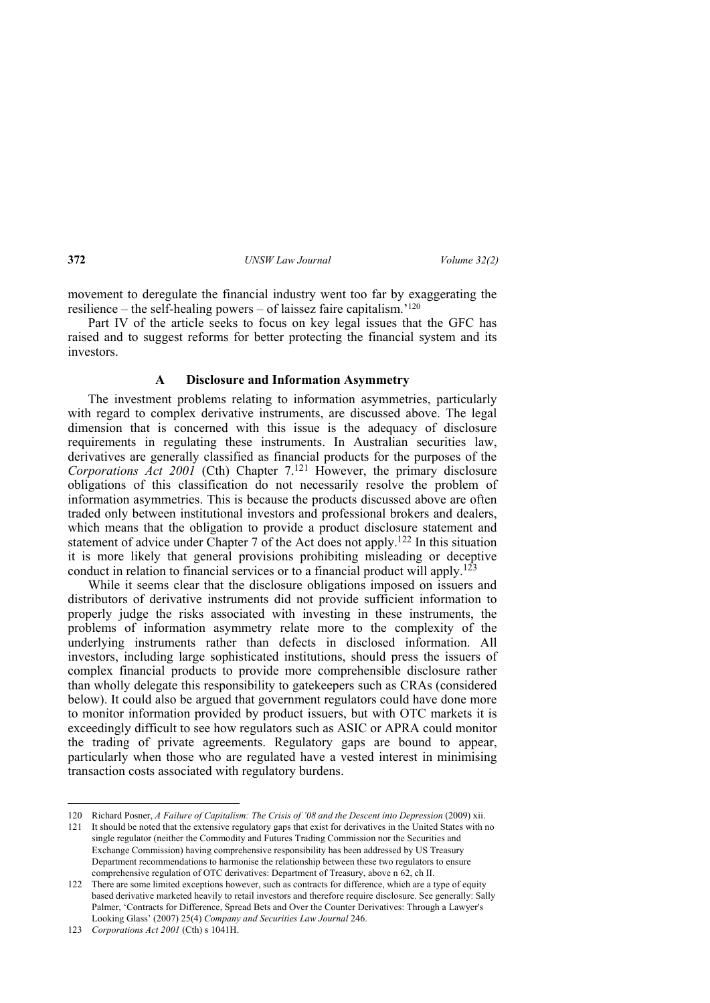movement to deregulate the financial industry went too far by exaggerating the resilience – the self-healing powers – of laissez faire capitalism.'120

Part IV of the article seeks to focus on key legal issues that the GFC has raised and to suggest reforms for better protecting the financial system and its investors.

### **A Disclosure and Information Asymmetry**

The investment problems relating to information asymmetries, particularly with regard to complex derivative instruments, are discussed above. The legal dimension that is concerned with this issue is the adequacy of disclosure requirements in regulating these instruments. In Australian securities law, derivatives are generally classified as financial products for the purposes of the *Corporations Act 2001* (Cth) Chapter 7.121 However, the primary disclosure obligations of this classification do not necessarily resolve the problem of information asymmetries. This is because the products discussed above are often traded only between institutional investors and professional brokers and dealers, which means that the obligation to provide a product disclosure statement and statement of advice under Chapter 7 of the Act does not apply.122 In this situation it is more likely that general provisions prohibiting misleading or deceptive conduct in relation to financial services or to a financial product will apply.123

While it seems clear that the disclosure obligations imposed on issuers and distributors of derivative instruments did not provide sufficient information to properly judge the risks associated with investing in these instruments, the problems of information asymmetry relate more to the complexity of the underlying instruments rather than defects in disclosed information. All investors, including large sophisticated institutions, should press the issuers of complex financial products to provide more comprehensible disclosure rather than wholly delegate this responsibility to gatekeepers such as CRAs (considered below). It could also be argued that government regulators could have done more to monitor information provided by product issuers, but with OTC markets it is exceedingly difficult to see how regulators such as ASIC or APRA could monitor the trading of private agreements. Regulatory gaps are bound to appear, particularly when those who are regulated have a vested interest in minimising transaction costs associated with regulatory burdens.

<sup>120</sup> Richard Posner, *A Failure of Capitalism: The Crisis of '08 and the Descent into Depression* (2009) xii.

<sup>121</sup> It should be noted that the extensive regulatory gaps that exist for derivatives in the United States with no single regulator (neither the Commodity and Futures Trading Commission nor the Securities and Exchange Commission) having comprehensive responsibility has been addressed by US Treasury Department recommendations to harmonise the relationship between these two regulators to ensure comprehensive regulation of OTC derivatives: Department of Treasury, above n 62, ch II.

<sup>122</sup> There are some limited exceptions however, such as contracts for difference, which are a type of equity based derivative marketed heavily to retail investors and therefore require disclosure. See generally: Sally Palmer, 'Contracts for Difference, Spread Bets and Over the Counter Derivatives: Through a Lawyer's Looking Glass' (2007) 25(4) *Company and Securities Law Journal* 246.

<sup>123</sup> *Corporations Act 2001* (Cth) s 1041H.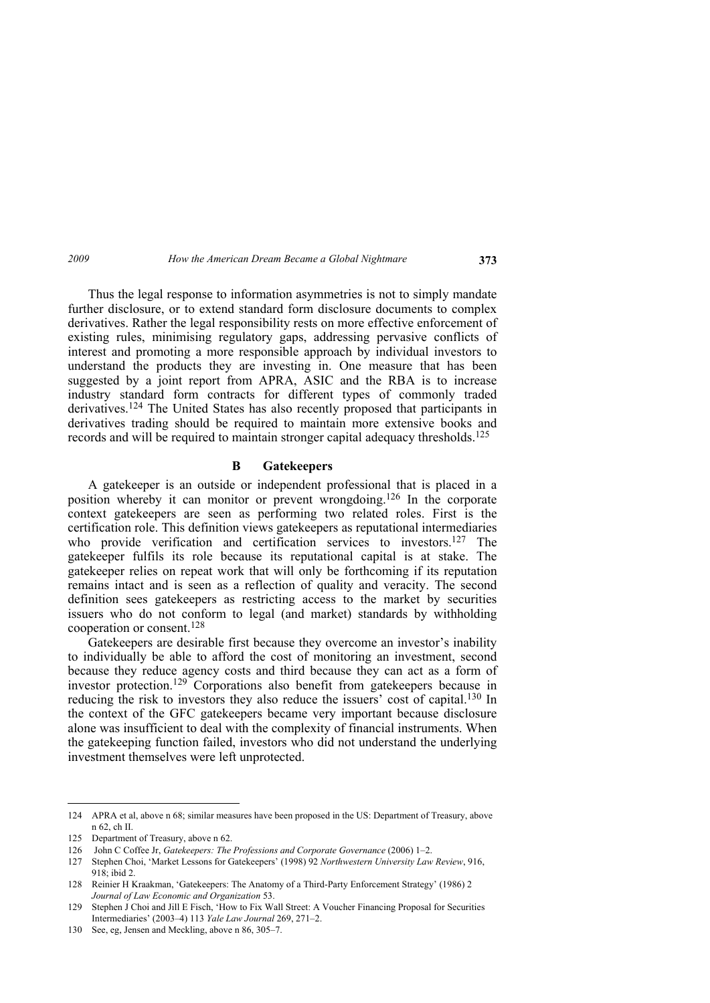Thus the legal response to information asymmetries is not to simply mandate further disclosure, or to extend standard form disclosure documents to complex derivatives. Rather the legal responsibility rests on more effective enforcement of existing rules, minimising regulatory gaps, addressing pervasive conflicts of interest and promoting a more responsible approach by individual investors to understand the products they are investing in. One measure that has been suggested by a joint report from APRA, ASIC and the RBA is to increase industry standard form contracts for different types of commonly traded derivatives.124 The United States has also recently proposed that participants in derivatives trading should be required to maintain more extensive books and records and will be required to maintain stronger capital adequacy thresholds.125

# **B Gatekeepers**

A gatekeeper is an outside or independent professional that is placed in a position whereby it can monitor or prevent wrongdoing.126 In the corporate context gatekeepers are seen as performing two related roles. First is the certification role. This definition views gatekeepers as reputational intermediaries who provide verification and certification services to investors.<sup>127</sup> The gatekeeper fulfils its role because its reputational capital is at stake. The gatekeeper relies on repeat work that will only be forthcoming if its reputation remains intact and is seen as a reflection of quality and veracity. The second definition sees gatekeepers as restricting access to the market by securities issuers who do not conform to legal (and market) standards by withholding cooperation or consent.128

Gatekeepers are desirable first because they overcome an investor's inability to individually be able to afford the cost of monitoring an investment, second because they reduce agency costs and third because they can act as a form of investor protection.<sup>129</sup> Corporations also benefit from gatekeepers because in reducing the risk to investors they also reduce the issuers' cost of capital.130 In the context of the GFC gatekeepers became very important because disclosure alone was insufficient to deal with the complexity of financial instruments. When the gatekeeping function failed, investors who did not understand the underlying investment themselves were left unprotected.

<sup>124</sup> APRA et al, above n 68; similar measures have been proposed in the US: Department of Treasury, above n 62, ch II.

<sup>125</sup> Department of Treasury, above n 62.

<sup>126</sup> John C Coffee Jr, *Gatekeepers: The Professions and Corporate Governance* (2006) 1–2.

<sup>127</sup> Stephen Choi, 'Market Lessons for Gatekeepers' (1998) 92 *Northwestern University Law Review*, 916, 918 $\cdot$  ibid 2.

<sup>128</sup> Reinier H Kraakman, 'Gatekeepers: The Anatomy of a Third-Party Enforcement Strategy' (1986) 2 *Journal of Law Economic and Organization* 53.

<sup>129</sup> Stephen J Choi and Jill E Fisch, 'How to Fix Wall Street: A Voucher Financing Proposal for Securities Intermediaries' (2003–4) 113 *Yale Law Journal* 269, 271–2.

<sup>130</sup> See, eg, Jensen and Meckling, above n 86, 305–7.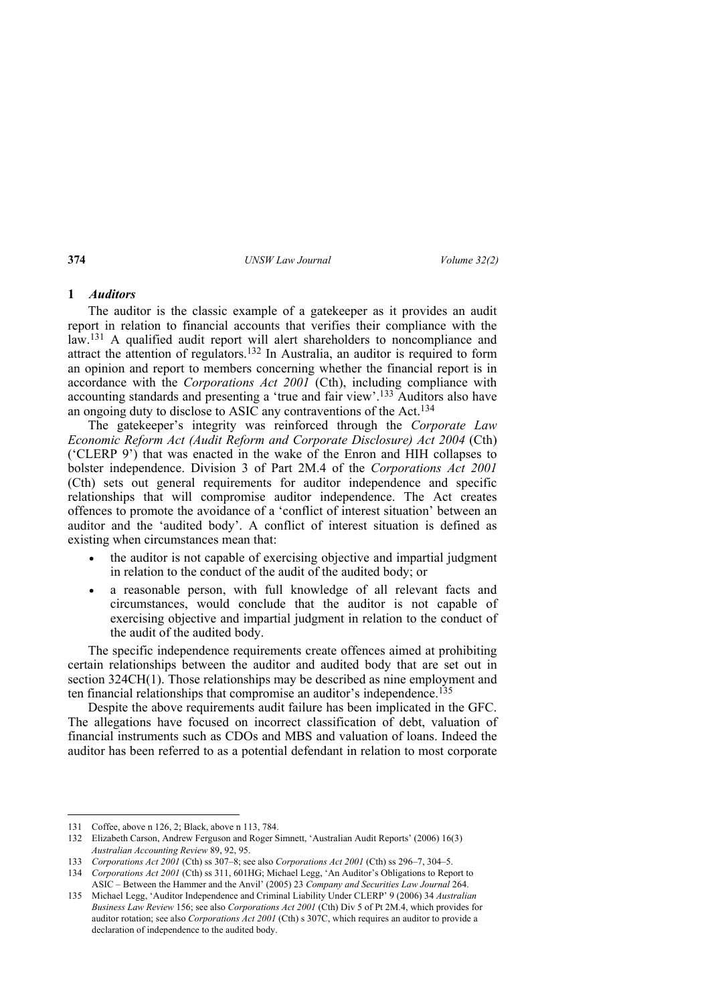### **1** *Auditors*

The auditor is the classic example of a gatekeeper as it provides an audit report in relation to financial accounts that verifies their compliance with the law.131 A qualified audit report will alert shareholders to noncompliance and attract the attention of regulators.132 In Australia, an auditor is required to form an opinion and report to members concerning whether the financial report is in accordance with the *Corporations Act 2001* (Cth), including compliance with accounting standards and presenting a 'true and fair view'.133 Auditors also have an ongoing duty to disclose to ASIC any contraventions of the Act.134

The gatekeeper's integrity was reinforced through the *Corporate Law Economic Reform Act (Audit Reform and Corporate Disclosure) Act 2004* (Cth) ('CLERP 9') that was enacted in the wake of the Enron and HIH collapses to bolster independence. Division 3 of Part 2M.4 of the *Corporations Act 2001* (Cth) sets out general requirements for auditor independence and specific relationships that will compromise auditor independence. The Act creates offences to promote the avoidance of a 'conflict of interest situation' between an auditor and the 'audited body'. A conflict of interest situation is defined as existing when circumstances mean that:

- the auditor is not capable of exercising objective and impartial judgment in relation to the conduct of the audit of the audited body; or
- a reasonable person, with full knowledge of all relevant facts and circumstances, would conclude that the auditor is not capable of exercising objective and impartial judgment in relation to the conduct of the audit of the audited body.

The specific independence requirements create offences aimed at prohibiting certain relationships between the auditor and audited body that are set out in section 324CH(1). Those relationships may be described as nine employment and ten financial relationships that compromise an auditor's independence.135

Despite the above requirements audit failure has been implicated in the GFC. The allegations have focused on incorrect classification of debt, valuation of financial instruments such as CDOs and MBS and valuation of loans. Indeed the auditor has been referred to as a potential defendant in relation to most corporate

<sup>131</sup> Coffee, above n 126, 2; Black, above n 113, 784.

<sup>132</sup> Elizabeth Carson, Andrew Ferguson and Roger Simnett, 'Australian Audit Reports' (2006) 16(3) *Australian Accounting Review* 89, 92, 95.

<sup>133</sup> *Corporations Act 2001* (Cth) ss 307–8; see also *Corporations Act 2001* (Cth) ss 296–7, 304–5.

<sup>134</sup> *Corporations Act 2001* (Cth) ss 311, 601HG; Michael Legg, 'An Auditor's Obligations to Report to ASIC – Between the Hammer and the Anvil' (2005) 23 *Company and Securities Law Journal* 264.

<sup>135</sup> Michael Legg, 'Auditor Independence and Criminal Liability Under CLERP' 9 (2006) 34 *Australian Business Law Review* 156; see also *Corporations Act 2001* (Cth) Div 5 of Pt 2M.4, which provides for auditor rotation; see also *Corporations Act 2001* (Cth) s 307C, which requires an auditor to provide a declaration of independence to the audited body.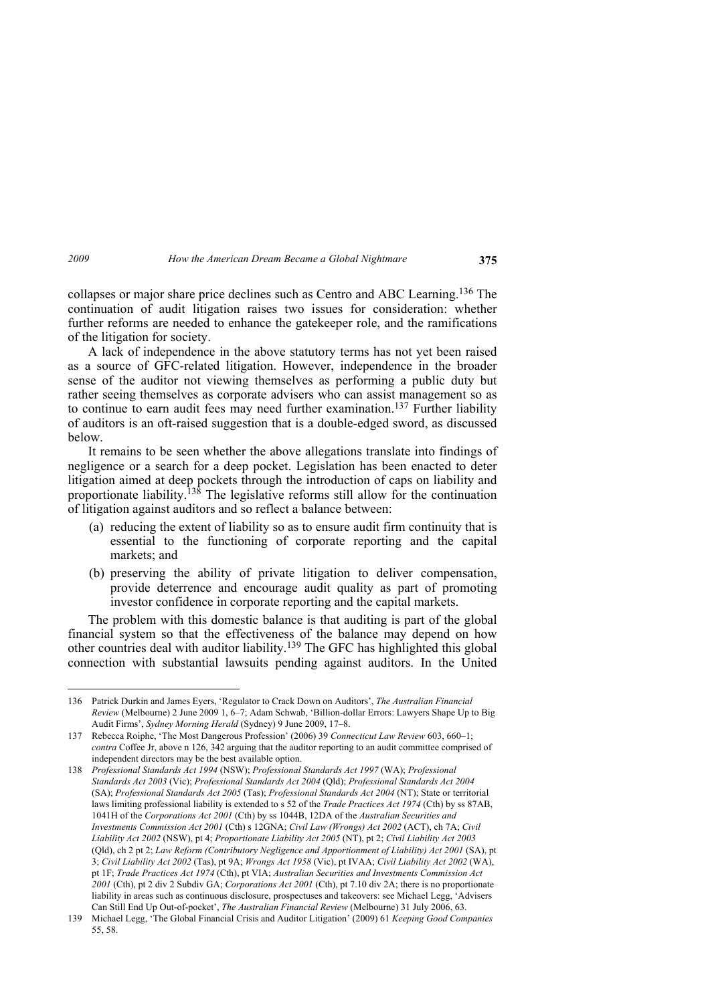collapses or major share price declines such as Centro and ABC Learning.136 The continuation of audit litigation raises two issues for consideration: whether further reforms are needed to enhance the gatekeeper role, and the ramifications of the litigation for society.

A lack of independence in the above statutory terms has not yet been raised as a source of GFC-related litigation. However, independence in the broader sense of the auditor not viewing themselves as performing a public duty but rather seeing themselves as corporate advisers who can assist management so as to continue to earn audit fees may need further examination.<sup>137</sup> Further liability of auditors is an oft-raised suggestion that is a double-edged sword, as discussed below.

It remains to be seen whether the above allegations translate into findings of negligence or a search for a deep pocket. Legislation has been enacted to deter litigation aimed at deep pockets through the introduction of caps on liability and proportionate liability.138 The legislative reforms still allow for the continuation of litigation against auditors and so reflect a balance between:

- (a) reducing the extent of liability so as to ensure audit firm continuity that is essential to the functioning of corporate reporting and the capital markets; and
- (b) preserving the ability of private litigation to deliver compensation, provide deterrence and encourage audit quality as part of promoting investor confidence in corporate reporting and the capital markets.

The problem with this domestic balance is that auditing is part of the global financial system so that the effectiveness of the balance may depend on how other countries deal with auditor liability.139 The GFC has highlighted this global connection with substantial lawsuits pending against auditors. In the United

<sup>136</sup> Patrick Durkin and James Eyers, 'Regulator to Crack Down on Auditors', *The Australian Financial Review* (Melbourne) 2 June 2009 1, 6–7; Adam Schwab, 'Billion-dollar Errors: Lawyers Shape Up to Big Audit Firms', *Sydney Morning Herald* (Sydney) 9 June 2009, 17–8.

<sup>137</sup> Rebecca Roiphe, 'The Most Dangerous Profession' (2006) 39 *Connecticut Law Review* 603, 660–1; *contra* Coffee Jr, above n 126, 342 arguing that the auditor reporting to an audit committee comprised of independent directors may be the best available option.

<sup>138</sup> *Professional Standards Act 1994* (NSW); *Professional Standards Act 1997* (WA); *Professional Standards Act 2003* (Vic); *Professional Standards Act 2004* (Qld); *Professional Standards Act 2004*  (SA); *Professional Standards Act 2005* (Tas); *Professional Standards Act 2004* (NT); State or territorial laws limiting professional liability is extended to s 52 of the *Trade Practices Act 1974* (Cth) by ss 87AB, 1041H of the *Corporations Act 2001* (Cth) by ss 1044B, 12DA of the *Australian Securities and Investments Commission Act 2001* (Cth) s 12GNA; *Civil Law (Wrongs) Act 2002* (ACT), ch 7A; *Civil Liability Act 2002* (NSW), pt 4; *Proportionate Liability Act 2005* (NT), pt 2; *Civil Liability Act 2003* (Qld), ch 2 pt 2; *Law Reform (Contributory Negligence and Apportionment of Liability) Act 2001* (SA), pt 3; *Civil Liability Act 2002* (Tas), pt 9A; *Wrongs Act 1958* (Vic), pt IVAA; *Civil Liability Act 2002* (WA), pt 1F; *Trade Practices Act 1974* (Cth), pt VIA; *Australian Securities and Investments Commission Act 2001* (Cth), pt 2 div 2 Subdiv GA; *Corporations Act 2001* (Cth), pt 7.10 div 2A; there is no proportionate liability in areas such as continuous disclosure, prospectuses and takeovers: see Michael Legg, 'Advisers Can Still End Up Out-of-pocket', *The Australian Financial Review* (Melbourne) 31 July 2006, 63.

<sup>139</sup> Michael Legg, 'The Global Financial Crisis and Auditor Litigation' (2009) 61 *Keeping Good Companies* 55, 58.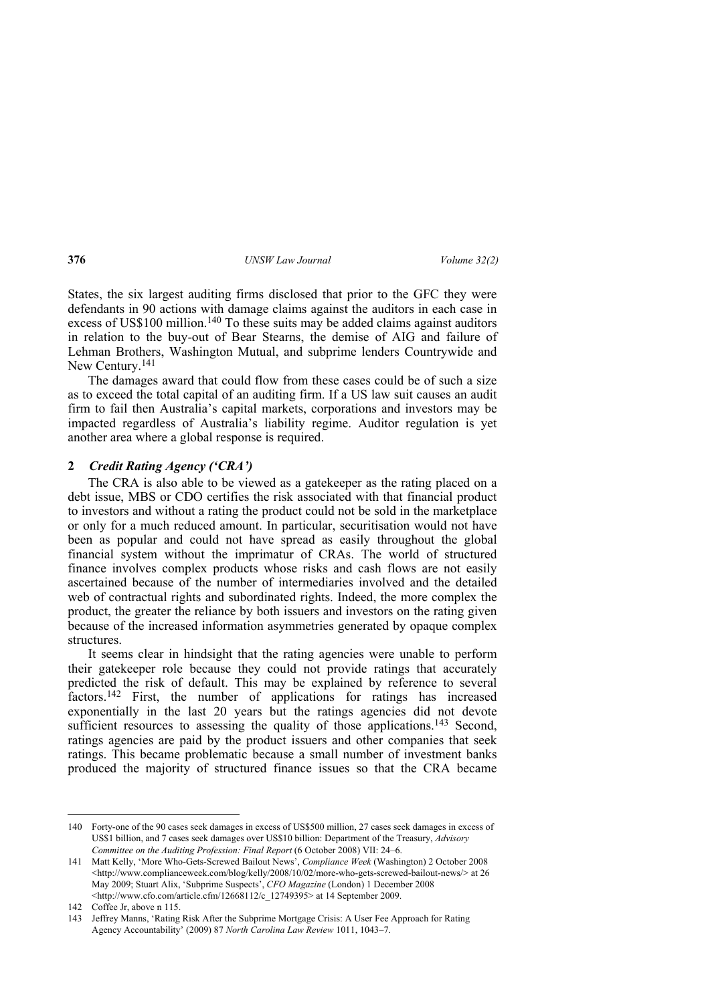States, the six largest auditing firms disclosed that prior to the GFC they were defendants in 90 actions with damage claims against the auditors in each case in excess of US\$100 million.<sup>140</sup> To these suits may be added claims against auditors in relation to the buy-out of Bear Stearns, the demise of AIG and failure of Lehman Brothers, Washington Mutual, and subprime lenders Countrywide and New Century.141

The damages award that could flow from these cases could be of such a size as to exceed the total capital of an auditing firm. If a US law suit causes an audit firm to fail then Australia's capital markets, corporations and investors may be impacted regardless of Australia's liability regime. Auditor regulation is yet another area where a global response is required.

### **2** *Credit Rating Agency ('CRA')*

The CRA is also able to be viewed as a gatekeeper as the rating placed on a debt issue, MBS or CDO certifies the risk associated with that financial product to investors and without a rating the product could not be sold in the marketplace or only for a much reduced amount. In particular, securitisation would not have been as popular and could not have spread as easily throughout the global financial system without the imprimatur of CRAs. The world of structured finance involves complex products whose risks and cash flows are not easily ascertained because of the number of intermediaries involved and the detailed web of contractual rights and subordinated rights. Indeed, the more complex the product, the greater the reliance by both issuers and investors on the rating given because of the increased information asymmetries generated by opaque complex structures.

It seems clear in hindsight that the rating agencies were unable to perform their gatekeeper role because they could not provide ratings that accurately predicted the risk of default. This may be explained by reference to several factors.<sup>142</sup> First, the number of applications for ratings has increased exponentially in the last 20 years but the ratings agencies did not devote sufficient resources to assessing the quality of those applications.<sup>143</sup> Second, ratings agencies are paid by the product issuers and other companies that seek ratings. This became problematic because a small number of investment banks produced the majority of structured finance issues so that the CRA became

<sup>140</sup> Forty-one of the 90 cases seek damages in excess of US\$500 million, 27 cases seek damages in excess of US\$1 billion, and 7 cases seek damages over US\$10 billion: Department of the Treasury, *Advisory Committee on the Auditing Profession: Final Report* (6 October 2008) VII: 24–6.

<sup>141</sup> Matt Kelly, 'More Who-Gets-Screwed Bailout News', *Compliance Week* (Washington) 2 October 2008 <http://www.complianceweek.com/blog/kelly/2008/10/02/more-who-gets-screwed-bailout-news/> at 26 May 2009; Stuart Alix, 'Subprime Suspects', *CFO Magazine* (London) 1 December 2008 <http://www.cfo.com/article.cfm/12668112/c\_12749395> at 14 September 2009.

<sup>142</sup> Coffee Jr, above n 115.

<sup>143</sup> Jeffrey Manns, 'Rating Risk After the Subprime Mortgage Crisis: A User Fee Approach for Rating Agency Accountability' (2009) 87 *North Carolina Law Review* 1011, 1043–7.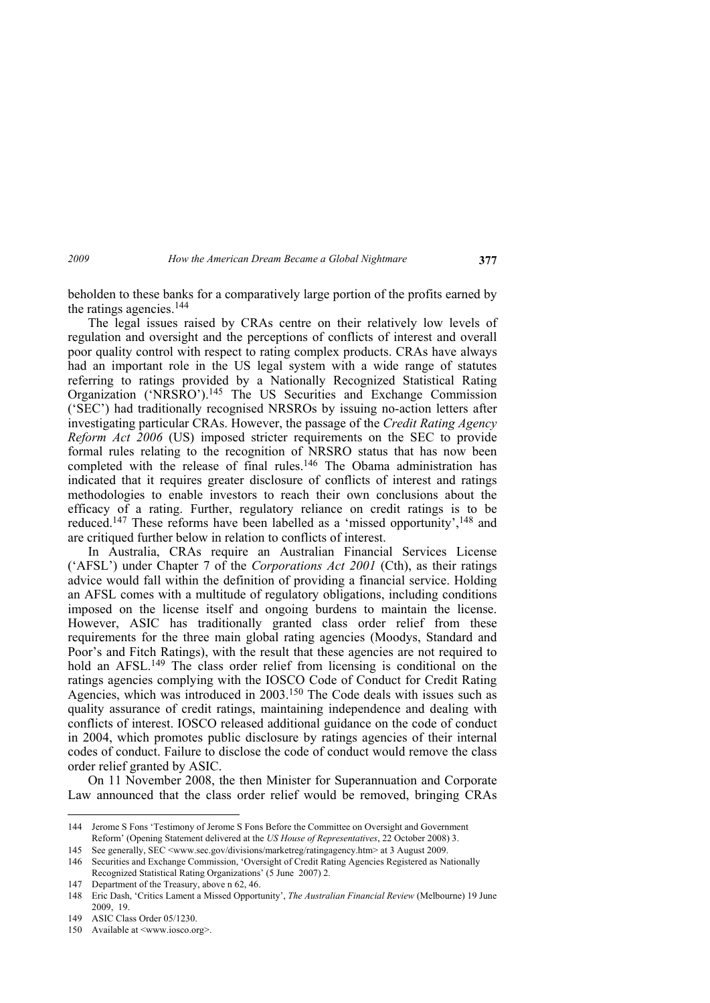beholden to these banks for a comparatively large portion of the profits earned by the ratings agencies.144

The legal issues raised by CRAs centre on their relatively low levels of regulation and oversight and the perceptions of conflicts of interest and overall poor quality control with respect to rating complex products. CRAs have always had an important role in the US legal system with a wide range of statutes referring to ratings provided by a Nationally Recognized Statistical Rating Organization ('NRSRO').145 The US Securities and Exchange Commission ('SEC') had traditionally recognised NRSROs by issuing no-action letters after investigating particular CRAs. However, the passage of the *Credit Rating Agency Reform Act 2006* (US) imposed stricter requirements on the SEC to provide formal rules relating to the recognition of NRSRO status that has now been completed with the release of final rules.<sup>146</sup> The Obama administration has indicated that it requires greater disclosure of conflicts of interest and ratings methodologies to enable investors to reach their own conclusions about the efficacy of a rating. Further, regulatory reliance on credit ratings is to be reduced.<sup>147</sup> These reforms have been labelled as a 'missed opportunity',<sup>148</sup> and are critiqued further below in relation to conflicts of interest.

In Australia, CRAs require an Australian Financial Services License ('AFSL') under Chapter 7 of the *Corporations Act 2001* (Cth), as their ratings advice would fall within the definition of providing a financial service. Holding an AFSL comes with a multitude of regulatory obligations, including conditions imposed on the license itself and ongoing burdens to maintain the license. However, ASIC has traditionally granted class order relief from these requirements for the three main global rating agencies (Moodys, Standard and Poor's and Fitch Ratings), with the result that these agencies are not required to hold an AFSL.<sup>149</sup> The class order relief from licensing is conditional on the ratings agencies complying with the IOSCO Code of Conduct for Credit Rating Agencies, which was introduced in 2003.<sup>150</sup> The Code deals with issues such as quality assurance of credit ratings, maintaining independence and dealing with conflicts of interest. IOSCO released additional guidance on the code of conduct in 2004, which promotes public disclosure by ratings agencies of their internal codes of conduct. Failure to disclose the code of conduct would remove the class order relief granted by ASIC.

On 11 November 2008, the then Minister for Superannuation and Corporate Law announced that the class order relief would be removed, bringing CRAs

145 See generally, SEC <www.sec.gov/divisions/marketreg/ratingagency.htm> at 3 August 2009. 146 Securities and Exchange Commission, 'Oversight of Credit Rating Agencies Registered as Nationally

<sup>144</sup> Jerome S Fons 'Testimony of Jerome S Fons Before the Committee on Oversight and Government Reform' (Opening Statement delivered at the *US House of Representatives*, 22 October 2008) 3.

Recognized Statistical Rating Organizations' (5 June 2007) 2.

<sup>147</sup> Department of the Treasury, above n 62, 46.

<sup>148</sup> Eric Dash, 'Critics Lament a Missed Opportunity', *The Australian Financial Review* (Melbourne) 19 June 2009, 19.

<sup>149</sup> ASIC Class Order 05/1230.

<sup>150</sup> Available at <www.iosco.org>.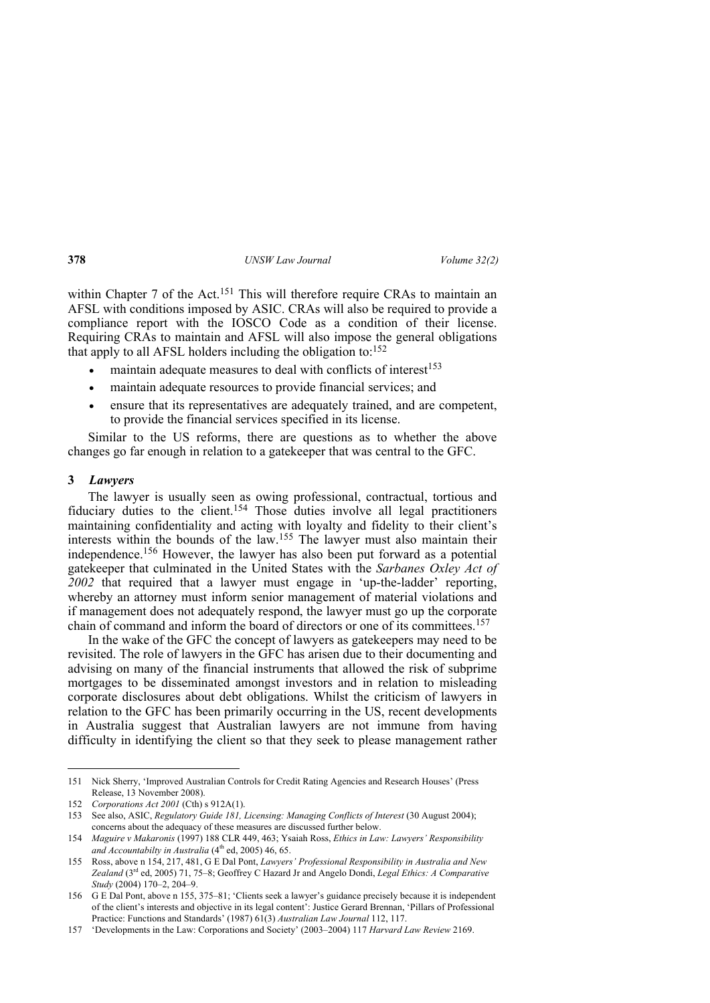within Chapter 7 of the Act.<sup>151</sup> This will therefore require CRAs to maintain an AFSL with conditions imposed by ASIC. CRAs will also be required to provide a compliance report with the IOSCO Code as a condition of their license. Requiring CRAs to maintain and AFSL will also impose the general obligations that apply to all AFSL holders including the obligation to: $152$ 

- $\bullet$  maintain adequate measures to deal with conflicts of interest<sup>153</sup>
- maintain adequate resources to provide financial services; and
- ensure that its representatives are adequately trained, and are competent, to provide the financial services specified in its license.

Similar to the US reforms, there are questions as to whether the above changes go far enough in relation to a gatekeeper that was central to the GFC.

### **3** *Lawyers*

 $\overline{a}$ 

The lawyer is usually seen as owing professional, contractual, tortious and fiduciary duties to the client.154 Those duties involve all legal practitioners maintaining confidentiality and acting with loyalty and fidelity to their client's interests within the bounds of the law.155 The lawyer must also maintain their independence.156 However, the lawyer has also been put forward as a potential gatekeeper that culminated in the United States with the *Sarbanes Oxley Act of 2002* that required that a lawyer must engage in 'up-the-ladder' reporting, whereby an attorney must inform senior management of material violations and if management does not adequately respond, the lawyer must go up the corporate chain of command and inform the board of directors or one of its committees.157

In the wake of the GFC the concept of lawyers as gatekeepers may need to be revisited. The role of lawyers in the GFC has arisen due to their documenting and advising on many of the financial instruments that allowed the risk of subprime mortgages to be disseminated amongst investors and in relation to misleading corporate disclosures about debt obligations. Whilst the criticism of lawyers in relation to the GFC has been primarily occurring in the US, recent developments in Australia suggest that Australian lawyers are not immune from having difficulty in identifying the client so that they seek to please management rather

<sup>151</sup> Nick Sherry, 'Improved Australian Controls for Credit Rating Agencies and Research Houses' (Press Release, 13 November 2008).

<sup>152</sup> *Corporations Act 2001* (Cth) s 912A(1).

<sup>153</sup> See also, ASIC, *Regulatory Guide 181, Licensing: Managing Conflicts of Interest* (30 August 2004); concerns about the adequacy of these measures are discussed further below.

<sup>154</sup> *Maguire v Makaronis* (1997) 188 CLR 449, 463; Ysaiah Ross, *Ethics in Law: Lawyers' Responsibility*  and Accountabilty in Australia (4<sup>th</sup> ed, 2005) 46, 65.

<sup>155</sup> Ross, above n 154, 217, 481, G E Dal Pont, *Lawyers' Professional Responsibility in Australia and New Zealand* (3rd ed, 2005) 71, 75–8; Geoffrey C Hazard Jr and Angelo Dondi, *Legal Ethics: A Comparative Study* (2004) 170–2, 204–9.

<sup>156</sup> G E Dal Pont, above n 155, 375–81; 'Clients seek a lawyer's guidance precisely because it is independent of the client's interests and objective in its legal content': Justice Gerard Brennan, 'Pillars of Professional Practice: Functions and Standards' (1987) 61(3) *Australian Law Journal* 112, 117.

<sup>157 &#</sup>x27;Developments in the Law: Corporations and Society' (2003–2004) 117 *Harvard Law Review* 2169.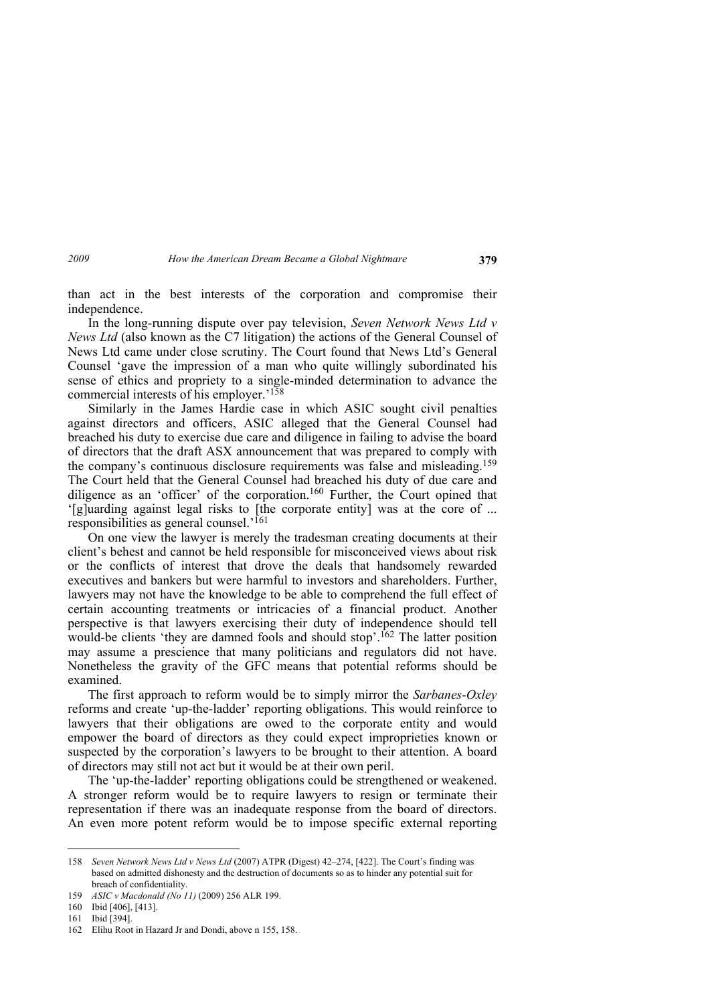than act in the best interests of the corporation and compromise their independence.

In the long-running dispute over pay television, *Seven Network News Ltd v News Ltd* (also known as the C7 litigation) the actions of the General Counsel of News Ltd came under close scrutiny. The Court found that News Ltd's General Counsel 'gave the impression of a man who quite willingly subordinated his sense of ethics and propriety to a single-minded determination to advance the commercial interests of his employer.'158

Similarly in the James Hardie case in which ASIC sought civil penalties against directors and officers, ASIC alleged that the General Counsel had breached his duty to exercise due care and diligence in failing to advise the board of directors that the draft ASX announcement that was prepared to comply with the company's continuous disclosure requirements was false and misleading.<sup>159</sup> The Court held that the General Counsel had breached his duty of due care and diligence as an 'officer' of the corporation.<sup>160</sup> Further, the Court opined that '[g]uarding against legal risks to [the corporate entity] was at the core of ... responsibilities as general counsel.'161

On one view the lawyer is merely the tradesman creating documents at their client's behest and cannot be held responsible for misconceived views about risk or the conflicts of interest that drove the deals that handsomely rewarded executives and bankers but were harmful to investors and shareholders. Further, lawyers may not have the knowledge to be able to comprehend the full effect of certain accounting treatments or intricacies of a financial product. Another perspective is that lawyers exercising their duty of independence should tell would-be clients 'they are damned fools and should stop'.<sup>162</sup> The latter position may assume a prescience that many politicians and regulators did not have. Nonetheless the gravity of the GFC means that potential reforms should be examined.

The first approach to reform would be to simply mirror the *Sarbanes-Oxley* reforms and create 'up-the-ladder' reporting obligations. This would reinforce to lawyers that their obligations are owed to the corporate entity and would empower the board of directors as they could expect improprieties known or suspected by the corporation's lawyers to be brought to their attention. A board of directors may still not act but it would be at their own peril.

The 'up-the-ladder' reporting obligations could be strengthened or weakened. A stronger reform would be to require lawyers to resign or terminate their representation if there was an inadequate response from the board of directors. An even more potent reform would be to impose specific external reporting

<sup>158</sup> *Seven Network News Ltd v News Ltd* (2007) ATPR (Digest) 42–274, [422]. The Court's finding was based on admitted dishonesty and the destruction of documents so as to hinder any potential suit for breach of confidentiality.

<sup>159</sup> *ASIC v Macdonald (No 11)* (2009) 256 ALR 199.

<sup>160</sup> Ibid [406], [413].

<sup>161</sup> Ibid [394].

<sup>162</sup> Elihu Root in Hazard Jr and Dondi, above n 155, 158.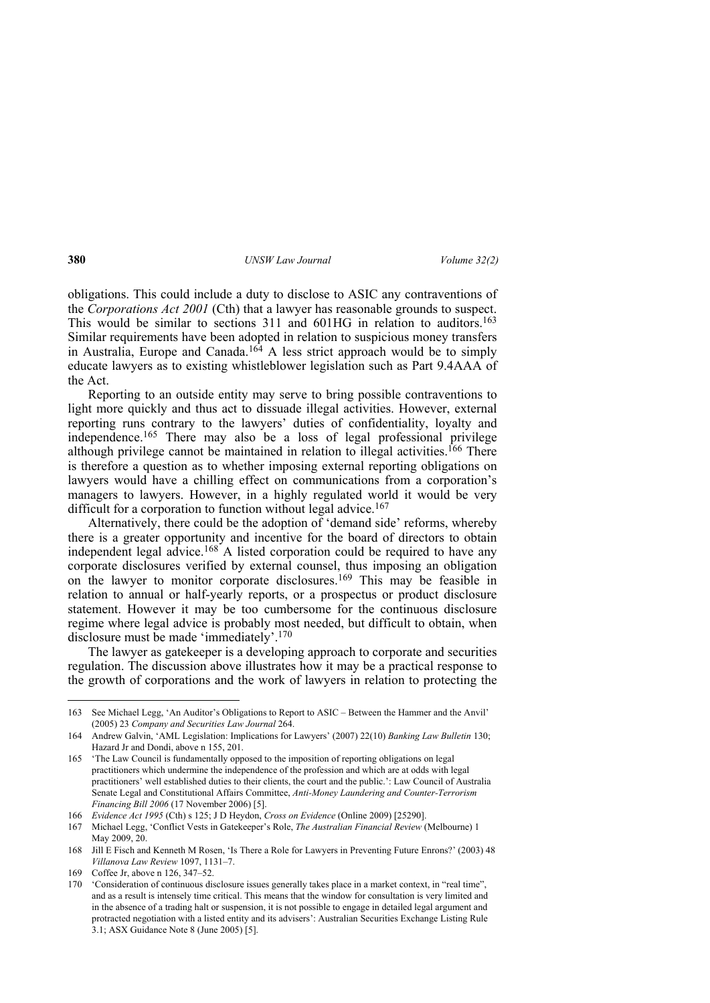obligations. This could include a duty to disclose to ASIC any contraventions of the *Corporations Act 2001* (Cth) that a lawyer has reasonable grounds to suspect. This would be similar to sections 311 and 601HG in relation to auditors.<sup>163</sup> Similar requirements have been adopted in relation to suspicious money transfers in Australia, Europe and Canada.164 A less strict approach would be to simply educate lawyers as to existing whistleblower legislation such as Part 9.4AAA of the Act.

Reporting to an outside entity may serve to bring possible contraventions to light more quickly and thus act to dissuade illegal activities. However, external reporting runs contrary to the lawyers' duties of confidentiality, loyalty and independence.165 There may also be a loss of legal professional privilege although privilege cannot be maintained in relation to illegal activities.166 There is therefore a question as to whether imposing external reporting obligations on lawyers would have a chilling effect on communications from a corporation's managers to lawyers. However, in a highly regulated world it would be very difficult for a corporation to function without legal advice.<sup>167</sup>

Alternatively, there could be the adoption of 'demand side' reforms, whereby there is a greater opportunity and incentive for the board of directors to obtain independent legal advice.<sup>168</sup> A listed corporation could be required to have any corporate disclosures verified by external counsel, thus imposing an obligation on the lawyer to monitor corporate disclosures.<sup>169</sup> This may be feasible in relation to annual or half-yearly reports, or a prospectus or product disclosure statement. However it may be too cumbersome for the continuous disclosure regime where legal advice is probably most needed, but difficult to obtain, when disclosure must be made 'immediately'.170

The lawyer as gatekeeper is a developing approach to corporate and securities regulation. The discussion above illustrates how it may be a practical response to the growth of corporations and the work of lawyers in relation to protecting the

<sup>163</sup> See Michael Legg, 'An Auditor's Obligations to Report to ASIC – Between the Hammer and the Anvil' (2005) 23 *Company and Securities Law Journal* 264.

<sup>164</sup> Andrew Galvin, 'AML Legislation: Implications for Lawyers' (2007) 22(10) *Banking Law Bulletin* 130; Hazard Jr and Dondi, above n 155, 201.

<sup>165 &#</sup>x27;The Law Council is fundamentally opposed to the imposition of reporting obligations on legal practitioners which undermine the independence of the profession and which are at odds with legal practitioners' well established duties to their clients, the court and the public.': Law Council of Australia Senate Legal and Constitutional Affairs Committee, *Anti-Money Laundering and Counter-Terrorism Financing Bill 2006* (17 November 2006) [5].

<sup>166</sup> *Evidence Act 1995* (Cth) s 125; J D Heydon, *Cross on Evidence* (Online 2009) [25290].

<sup>167</sup> Michael Legg, 'Conflict Vests in Gatekeeper's Role, *The Australian Financial Review* (Melbourne) 1 May 2009, 20.

<sup>168</sup> Jill E Fisch and Kenneth M Rosen, 'Is There a Role for Lawyers in Preventing Future Enrons?' (2003) 48 *Villanova Law Review* 1097, 1131–7.

<sup>169</sup> Coffee Jr, above n 126, 347–52.

<sup>170 &#</sup>x27;Consideration of continuous disclosure issues generally takes place in a market context, in "real time", and as a result is intensely time critical. This means that the window for consultation is very limited and in the absence of a trading halt or suspension, it is not possible to engage in detailed legal argument and protracted negotiation with a listed entity and its advisers': Australian Securities Exchange Listing Rule 3.1; ASX Guidance Note 8 (June 2005) [5].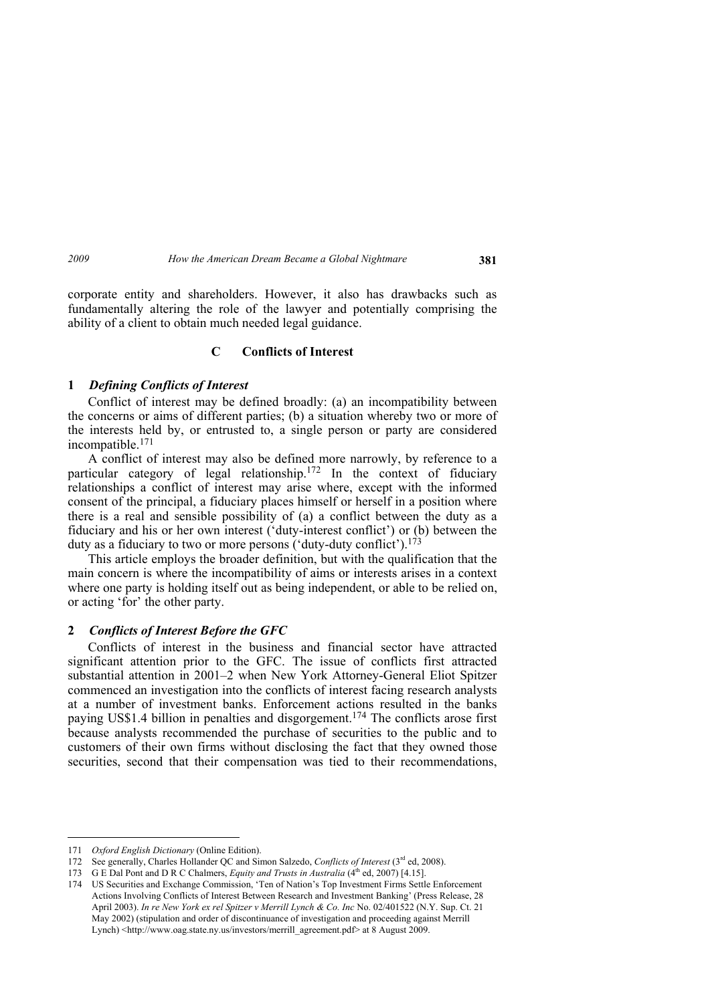corporate entity and shareholders. However, it also has drawbacks such as fundamentally altering the role of the lawyer and potentially comprising the ability of a client to obtain much needed legal guidance.

## **C Conflicts of Interest**

### **1** *Defining Conflicts of Interest*

Conflict of interest may be defined broadly: (a) an incompatibility between the concerns or aims of different parties; (b) a situation whereby two or more of the interests held by, or entrusted to, a single person or party are considered incompatible.171

A conflict of interest may also be defined more narrowly, by reference to a particular category of legal relationship.172 In the context of fiduciary relationships a conflict of interest may arise where, except with the informed consent of the principal, a fiduciary places himself or herself in a position where there is a real and sensible possibility of (a) a conflict between the duty as a fiduciary and his or her own interest ('duty-interest conflict') or (b) between the duty as a fiduciary to two or more persons ('duty-duty conflict').<sup>173</sup>

This article employs the broader definition, but with the qualification that the main concern is where the incompatibility of aims or interests arises in a context where one party is holding itself out as being independent, or able to be relied on, or acting 'for' the other party.

# **2** *Conflicts of Interest Before the GFC*

Conflicts of interest in the business and financial sector have attracted significant attention prior to the GFC. The issue of conflicts first attracted substantial attention in 2001–2 when New York Attorney-General Eliot Spitzer commenced an investigation into the conflicts of interest facing research analysts at a number of investment banks. Enforcement actions resulted in the banks paying US\$1.4 billion in penalties and disgorgement.174 The conflicts arose first because analysts recommended the purchase of securities to the public and to customers of their own firms without disclosing the fact that they owned those securities, second that their compensation was tied to their recommendations,

<sup>171</sup> *Oxford English Dictionary* (Online Edition).

<sup>172</sup> See generally, Charles Hollander QC and Simon Salzedo, *Conflicts of Interest* (3rd ed, 2008).

<sup>173</sup> G E Dal Pont and D R C Chalmers, *Equity and Trusts in Australia* (4th ed, 2007) [4.15].

<sup>174</sup> US Securities and Exchange Commission, 'Ten of Nation's Top Investment Firms Settle Enforcement Actions Involving Conflicts of Interest Between Research and Investment Banking' (Press Release, 28 April 2003). *In re New York ex rel Spitzer v Merrill Lynch & Co. Inc* No. 02/401522 (N.Y. Sup. Ct. 21 May 2002) (stipulation and order of discontinuance of investigation and proceeding against Merrill Lynch) <http://www.oag.state.ny.us/investors/merrill\_agreement.pdf> at 8 August 2009.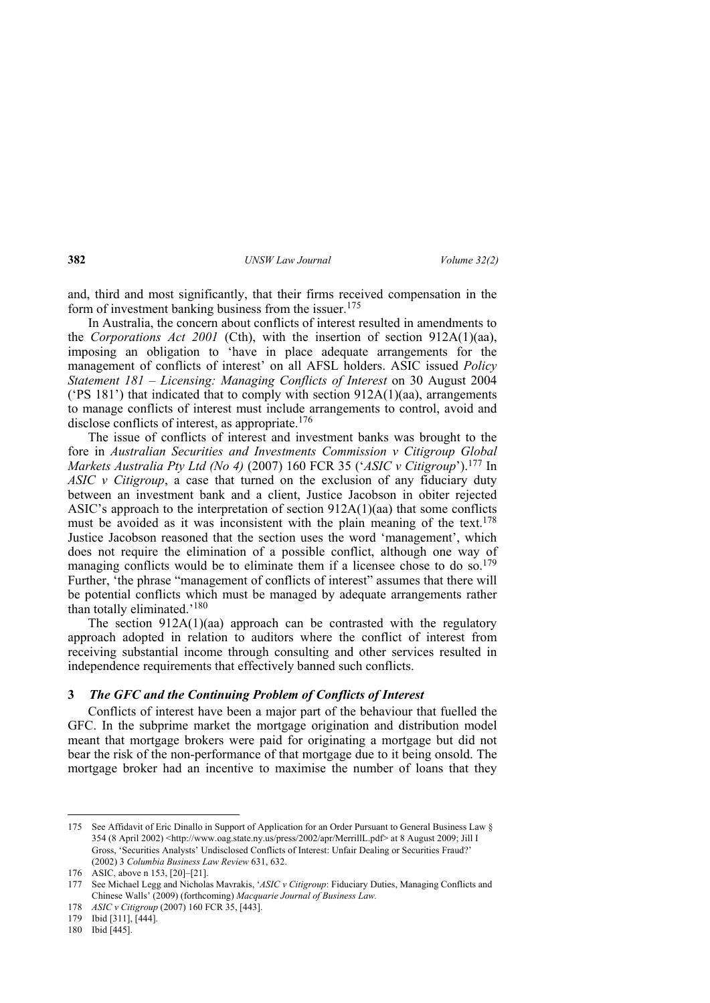and, third and most significantly, that their firms received compensation in the form of investment banking business from the issuer.<sup>175</sup>

In Australia, the concern about conflicts of interest resulted in amendments to the *Corporations Act 2001* (Cth), with the insertion of section 912A(1)(aa), imposing an obligation to 'have in place adequate arrangements for the management of conflicts of interest' on all AFSL holders. ASIC issued *Policy Statement 181 – Licensing: Managing Conflicts of Interest* on 30 August 2004 ( $PS 181$ ) that indicated that to comply with section  $912A(1)(aa)$ , arrangements to manage conflicts of interest must include arrangements to control, avoid and disclose conflicts of interest, as appropriate.<sup>176</sup>

The issue of conflicts of interest and investment banks was brought to the fore in *Australian Securities and Investments Commission v Citigroup Global Markets Australia Pty Ltd (No 4)* (2007) 160 FCR 35 ('*ASIC v Citigroup*').177 In *ASIC v Citigroup*, a case that turned on the exclusion of any fiduciary duty between an investment bank and a client, Justice Jacobson in obiter rejected ASIC's approach to the interpretation of section 912A(1)(aa) that some conflicts must be avoided as it was inconsistent with the plain meaning of the text.<sup>178</sup> Justice Jacobson reasoned that the section uses the word 'management', which does not require the elimination of a possible conflict, although one way of managing conflicts would be to eliminate them if a licensee chose to do so.<sup>179</sup> Further, 'the phrase "management of conflicts of interest" assumes that there will be potential conflicts which must be managed by adequate arrangements rather than totally eliminated.'180

The section  $912A(1)(aa)$  approach can be contrasted with the regulatory approach adopted in relation to auditors where the conflict of interest from receiving substantial income through consulting and other services resulted in independence requirements that effectively banned such conflicts.

## **3** *The GFC and the Continuing Problem of Conflicts of Interest*

Conflicts of interest have been a major part of the behaviour that fuelled the GFC. In the subprime market the mortgage origination and distribution model meant that mortgage brokers were paid for originating a mortgage but did not bear the risk of the non-performance of that mortgage due to it being onsold. The mortgage broker had an incentive to maximise the number of loans that they

<sup>175</sup> See Affidavit of Eric Dinallo in Support of Application for an Order Pursuant to General Business Law § 354 (8 April 2002) <http://www.oag.state.ny.us/press/2002/apr/MerrillL.pdf> at 8 August 2009; Jill I Gross, 'Securities Analysts' Undisclosed Conflicts of Interest: Unfair Dealing or Securities Fraud?' (2002) 3 *Columbia Business Law Review* 631, 632.

<sup>176</sup> ASIC, above n 153, [20]–[21].

<sup>177</sup> See Michael Legg and Nicholas Mavrakis, '*ASIC v Citigroup*: Fiduciary Duties, Managing Conflicts and Chinese Walls' (2009) (forthcoming) *Macquarie Journal of Business Law.*

<sup>178</sup> *ASIC v Citigroup* (2007) 160 FCR 35, [443].

<sup>179</sup> Ibid [311], [444].

<sup>180</sup> Ibid [445].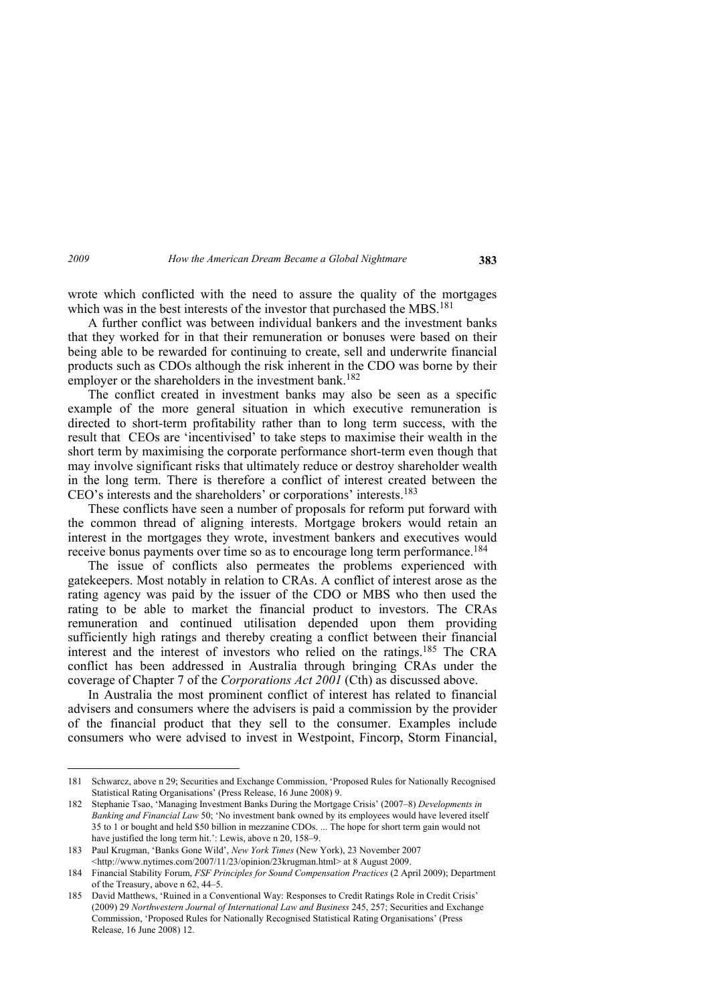wrote which conflicted with the need to assure the quality of the mortgages which was in the best interests of the investor that purchased the MBS.<sup>181</sup>

A further conflict was between individual bankers and the investment banks that they worked for in that their remuneration or bonuses were based on their being able to be rewarded for continuing to create, sell and underwrite financial products such as CDOs although the risk inherent in the CDO was borne by their employer or the shareholders in the investment bank.<sup>182</sup>

The conflict created in investment banks may also be seen as a specific example of the more general situation in which executive remuneration is directed to short-term profitability rather than to long term success, with the result that CEOs are 'incentivised' to take steps to maximise their wealth in the short term by maximising the corporate performance short-term even though that may involve significant risks that ultimately reduce or destroy shareholder wealth in the long term. There is therefore a conflict of interest created between the CEO's interests and the shareholders' or corporations' interests.183

These conflicts have seen a number of proposals for reform put forward with the common thread of aligning interests. Mortgage brokers would retain an interest in the mortgages they wrote, investment bankers and executives would receive bonus payments over time so as to encourage long term performance.<sup>184</sup>

The issue of conflicts also permeates the problems experienced with gatekeepers. Most notably in relation to CRAs. A conflict of interest arose as the rating agency was paid by the issuer of the CDO or MBS who then used the rating to be able to market the financial product to investors. The CRAs remuneration and continued utilisation depended upon them providing sufficiently high ratings and thereby creating a conflict between their financial interest and the interest of investors who relied on the ratings.185 The CRA conflict has been addressed in Australia through bringing CRAs under the coverage of Chapter 7 of the *Corporations Act 2001* (Cth) as discussed above.

In Australia the most prominent conflict of interest has related to financial advisers and consumers where the advisers is paid a commission by the provider of the financial product that they sell to the consumer. Examples include consumers who were advised to invest in Westpoint, Fincorp, Storm Financial,

<sup>181</sup> Schwarcz, above n 29; Securities and Exchange Commission, 'Proposed Rules for Nationally Recognised Statistical Rating Organisations' (Press Release, 16 June 2008) 9.

<sup>182</sup> Stephanie Tsao, 'Managing Investment Banks During the Mortgage Crisis' (2007–8) *Developments in Banking and Financial Law* 50; 'No investment bank owned by its employees would have levered itself 35 to 1 or bought and held \$50 billion in mezzanine CDOs. ... The hope for short term gain would not have justified the long term hit.': Lewis, above n 20, 158-9.

<sup>183</sup> Paul Krugman, 'Banks Gone Wild', *New York Times* (New York), 23 November 2007 <http://www.nytimes.com/2007/11/23/opinion/23krugman.html> at 8 August 2009.

<sup>184</sup> Financial Stability Forum, *FSF Principles for Sound Compensation Practices* (2 April 2009); Department of the Treasury, above n 62, 44–5.

<sup>185</sup> David Matthews, 'Ruined in a Conventional Way: Responses to Credit Ratings Role in Credit Crisis' (2009) 29 *Northwestern Journal of International Law and Business* 245, 257; Securities and Exchange Commission, 'Proposed Rules for Nationally Recognised Statistical Rating Organisations' (Press Release, 16 June 2008) 12.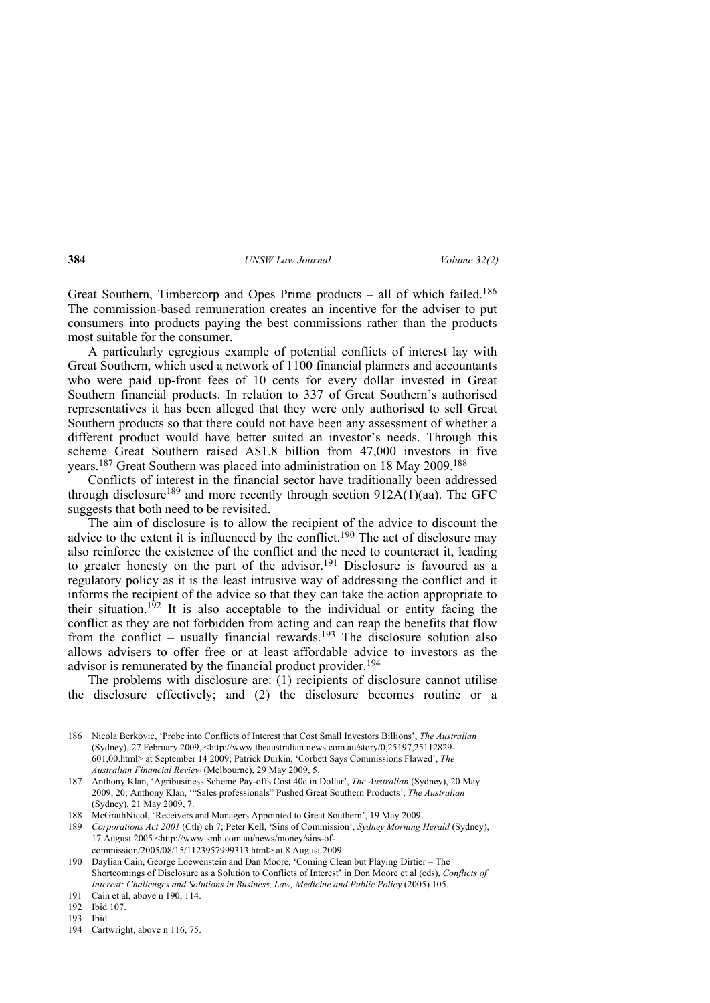Great Southern, Timbercorp and Opes Prime products – all of which failed.<sup>186</sup> The commission-based remuneration creates an incentive for the adviser to put consumers into products paying the best commissions rather than the products most suitable for the consumer.

A particularly egregious example of potential conflicts of interest lay with Great Southern, which used a network of 1100 financial planners and accountants who were paid up-front fees of 10 cents for every dollar invested in Great Southern financial products. In relation to 337 of Great Southern's authorised representatives it has been alleged that they were only authorised to sell Great Southern products so that there could not have been any assessment of whether a different product would have better suited an investor's needs. Through this scheme Great Southern raised A\$1.8 billion from 47,000 investors in five years.187 Great Southern was placed into administration on 18 May 2009.188

Conflicts of interest in the financial sector have traditionally been addressed through disclosure<sup>189</sup> and more recently through section 912A(1)(aa). The GFC suggests that both need to be revisited.

The aim of disclosure is to allow the recipient of the advice to discount the advice to the extent it is influenced by the conflict.190 The act of disclosure may also reinforce the existence of the conflict and the need to counteract it, leading to greater honesty on the part of the advisor.<sup>191</sup> Disclosure is favoured as a regulatory policy as it is the least intrusive way of addressing the conflict and it informs the recipient of the advice so that they can take the action appropriate to their situation.<sup>192</sup> It is also acceptable to the individual or entity facing the conflict as they are not forbidden from acting and can reap the benefits that flow from the conflict – usually financial rewards.<sup>193</sup> The disclosure solution also allows advisers to offer free or at least affordable advice to investors as the advisor is remunerated by the financial product provider.<sup>194</sup>

The problems with disclosure are: (1) recipients of disclosure cannot utilise the disclosure effectively; and (2) the disclosure becomes routine or a

<sup>186</sup> Nicola Berkovic, 'Probe into Conflicts of Interest that Cost Small Investors Billions', *The Australian* (Sydney), 27 February 2009, <http://www.theaustralian.news.com.au/story/0,25197,25112829- 601,00.html> at September 14 2009; Patrick Durkin, 'Corbett Says Commissions Flawed', *The Australian Financial Review* (Melbourne), 29 May 2009, 5.

<sup>187</sup> Anthony Klan, 'Agribusiness Scheme Pay-offs Cost 40c in Dollar', *The Australian* (Sydney), 20 May 2009, 20; Anthony Klan, '"Sales professionals" Pushed Great Southern Products', *The Australian* (Sydney), 21 May 2009, 7.

<sup>188</sup> McGrathNicol, 'Receivers and Managers Appointed to Great Southern', 19 May 2009.

<sup>189</sup> *Corporations Act 2001* (Cth) ch 7; Peter Kell, 'Sins of Commission', *Sydney Morning Herald* (Sydney), 17 August 2005 <http://www.smh.com.au/news/money/sins-ofcommission/2005/08/15/1123957999313.html> at 8 August 2009.

<sup>190</sup> Daylian Cain, George Loewenstein and Dan Moore, 'Coming Clean but Playing Dirtier – The Shortcomings of Disclosure as a Solution to Conflicts of Interest' in Don Moore et al (eds), *Conflicts of Interest: Challenges and Solutions in Business, Law, Medicine and Public Policy* (2005) 105.

<sup>191</sup> Cain et al, above n 190, 114. 192 Ibid 107.

<sup>193</sup> Ibid.

<sup>194</sup> Cartwright, above n 116, 75.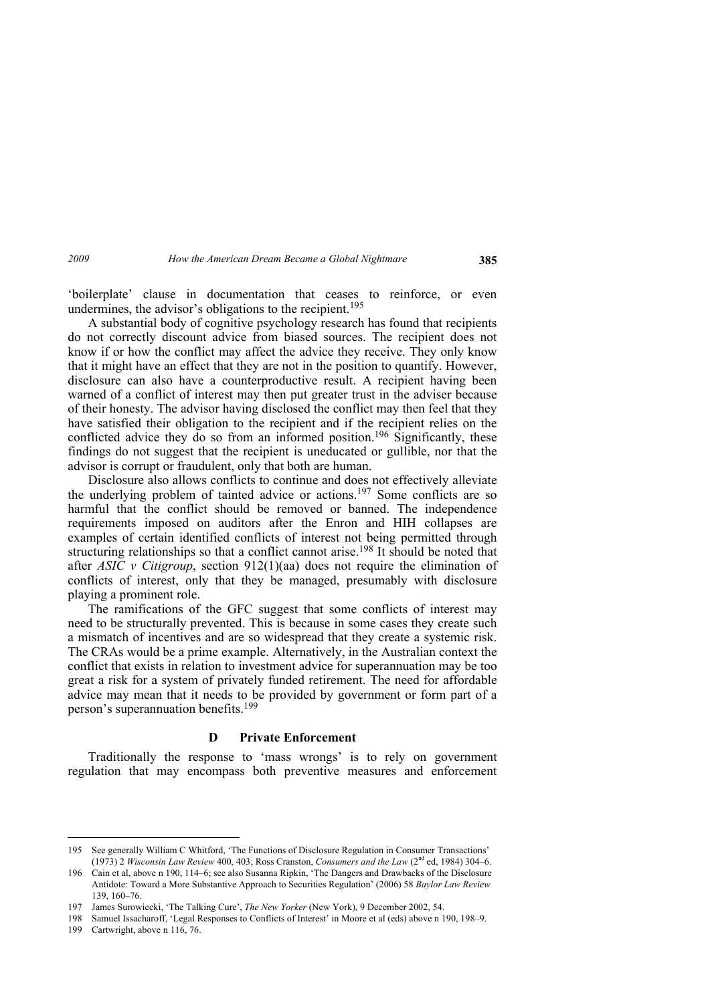'boilerplate' clause in documentation that ceases to reinforce, or even undermines, the advisor's obligations to the recipient.<sup>195</sup>

A substantial body of cognitive psychology research has found that recipients do not correctly discount advice from biased sources. The recipient does not know if or how the conflict may affect the advice they receive. They only know that it might have an effect that they are not in the position to quantify. However, disclosure can also have a counterproductive result. A recipient having been warned of a conflict of interest may then put greater trust in the adviser because of their honesty. The advisor having disclosed the conflict may then feel that they have satisfied their obligation to the recipient and if the recipient relies on the conflicted advice they do so from an informed position.<sup>196</sup> Significantly, these findings do not suggest that the recipient is uneducated or gullible, nor that the advisor is corrupt or fraudulent, only that both are human.

Disclosure also allows conflicts to continue and does not effectively alleviate the underlying problem of tainted advice or actions.197 Some conflicts are so harmful that the conflict should be removed or banned. The independence requirements imposed on auditors after the Enron and HIH collapses are examples of certain identified conflicts of interest not being permitted through structuring relationships so that a conflict cannot arise.<sup>198</sup> It should be noted that after *ASIC v Citigroup*, section 912(1)(aa) does not require the elimination of conflicts of interest, only that they be managed, presumably with disclosure playing a prominent role.

The ramifications of the GFC suggest that some conflicts of interest may need to be structurally prevented. This is because in some cases they create such a mismatch of incentives and are so widespread that they create a systemic risk. The CRAs would be a prime example. Alternatively, in the Australian context the conflict that exists in relation to investment advice for superannuation may be too great a risk for a system of privately funded retirement. The need for affordable advice may mean that it needs to be provided by government or form part of a person's superannuation benefits.199

## **D Private Enforcement**

Traditionally the response to 'mass wrongs' is to rely on government regulation that may encompass both preventive measures and enforcement

<sup>195</sup> See generally William C Whitford, 'The Functions of Disclosure Regulation in Consumer Transactions' (1973) 2 *Wisconsin Law Review* 400, 403; Ross Cranston, *Consumers and the Law* (2nd ed, 1984) 304–6.

<sup>196</sup> Cain et al, above n 190, 114–6; see also Susanna Ripkin, 'The Dangers and Drawbacks of the Disclosure Antidote: Toward a More Substantive Approach to Securities Regulation' (2006) 58 *Baylor Law Review* 139, 160–76.

<sup>197</sup> James Surowiecki, 'The Talking Cure', *The New Yorker* (New York), 9 December 2002, 54.

<sup>198</sup> Samuel Issacharoff, 'Legal Responses to Conflicts of Interest' in Moore et al (eds) above n 190, 198–9.

<sup>199</sup> Cartwright, above n 116, 76.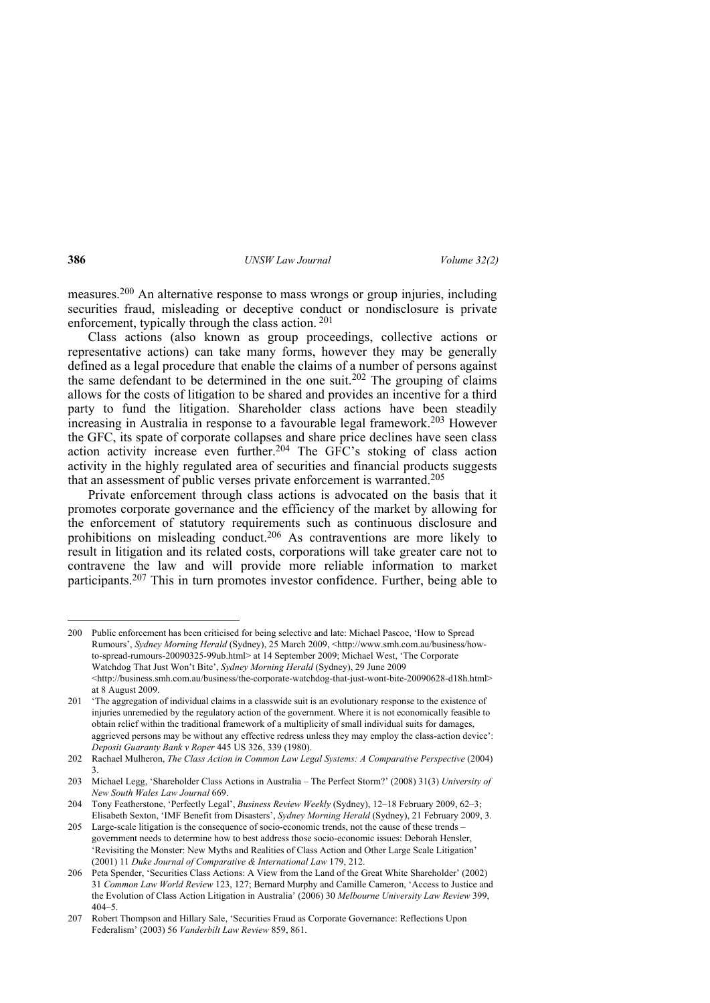measures.200 An alternative response to mass wrongs or group injuries, including securities fraud, misleading or deceptive conduct or nondisclosure is private enforcement, typically through the class action. 201

Class actions (also known as group proceedings, collective actions or representative actions) can take many forms, however they may be generally defined as a legal procedure that enable the claims of a number of persons against the same defendant to be determined in the one suit.<sup>202</sup> The grouping of claims allows for the costs of litigation to be shared and provides an incentive for a third party to fund the litigation. Shareholder class actions have been steadily increasing in Australia in response to a favourable legal framework.203 However the GFC, its spate of corporate collapses and share price declines have seen class action activity increase even further.<sup>204</sup> The GFC's stoking of class action activity in the highly regulated area of securities and financial products suggests that an assessment of public verses private enforcement is warranted.205

Private enforcement through class actions is advocated on the basis that it promotes corporate governance and the efficiency of the market by allowing for the enforcement of statutory requirements such as continuous disclosure and prohibitions on misleading conduct.206 As contraventions are more likely to result in litigation and its related costs, corporations will take greater care not to contravene the law and will provide more reliable information to market participants.207 This in turn promotes investor confidence. Further, being able to

<sup>200</sup> Public enforcement has been criticised for being selective and late: Michael Pascoe, 'How to Spread Rumours', *Sydney Morning Herald* (Sydney), 25 March 2009, <http://www.smh.com.au/business/howto-spread-rumours-20090325-99ub.html> at 14 September 2009; Michael West, 'The Corporate Watchdog That Just Won't Bite', *Sydney Morning Herald* (Sydney), 29 June 2009 <http://business.smh.com.au/business/the-corporate-watchdog-that-just-wont-bite-20090628-d18h.html> at 8 August 2009.

<sup>201 &#</sup>x27;The aggregation of individual claims in a classwide suit is an evolutionary response to the existence of injuries unremedied by the regulatory action of the government. Where it is not economically feasible to obtain relief within the traditional framework of a multiplicity of small individual suits for damages, aggrieved persons may be without any effective redress unless they may employ the class-action device': *Deposit Guaranty Bank v Roper* 445 US 326, 339 (1980).

<sup>202</sup> Rachael Mulheron, *The Class Action in Common Law Legal Systems: A Comparative Perspective* (2004) 3.

<sup>203</sup> Michael Legg, 'Shareholder Class Actions in Australia – The Perfect Storm?' (2008) 31(3) *University of New South Wales Law Journal* 669.

<sup>204</sup> Tony Featherstone, 'Perfectly Legal', *Business Review Weekly* (Sydney), 12–18 February 2009, 62–3; Elisabeth Sexton, 'IMF Benefit from Disasters', *Sydney Morning Herald* (Sydney), 21 February 2009, 3.

<sup>205</sup> Large-scale litigation is the consequence of socio-economic trends, not the cause of these trends – government needs to determine how to best address those socio-economic issues: Deborah Hensler, 'Revisiting the Monster: New Myths and Realities of Class Action and Other Large Scale Litigation' (2001) 11 *Duke Journal of Comparative & International Law* 179, 212.

<sup>206</sup> Peta Spender, 'Securities Class Actions: A View from the Land of the Great White Shareholder' (2002) 31 *Common Law World Review* 123, 127; Bernard Murphy and Camille Cameron, 'Access to Justice and the Evolution of Class Action Litigation in Australia' (2006) 30 *Melbourne University Law Review* 399,  $404 - 5$ 

<sup>207</sup> Robert Thompson and Hillary Sale, 'Securities Fraud as Corporate Governance: Reflections Upon Federalism' (2003) 56 *Vanderbilt Law Review* 859, 861.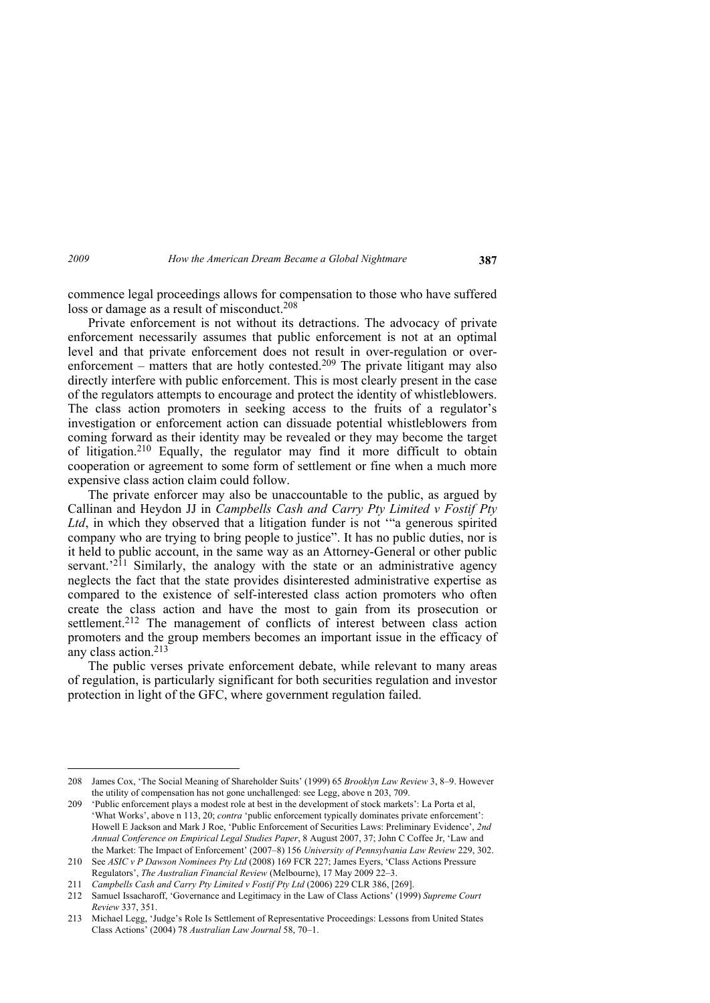commence legal proceedings allows for compensation to those who have suffered loss or damage as a result of misconduct.<sup>208</sup>

Private enforcement is not without its detractions. The advocacy of private enforcement necessarily assumes that public enforcement is not at an optimal level and that private enforcement does not result in over-regulation or overenforcement – matters that are hotly contested.<sup>209</sup> The private litigant may also directly interfere with public enforcement. This is most clearly present in the case of the regulators attempts to encourage and protect the identity of whistleblowers. The class action promoters in seeking access to the fruits of a regulator's investigation or enforcement action can dissuade potential whistleblowers from coming forward as their identity may be revealed or they may become the target of litigation.210 Equally, the regulator may find it more difficult to obtain cooperation or agreement to some form of settlement or fine when a much more expensive class action claim could follow.

The private enforcer may also be unaccountable to the public, as argued by Callinan and Heydon JJ in *Campbells Cash and Carry Pty Limited v Fostif Pty Ltd*, in which they observed that a litigation funder is not '"a generous spirited company who are trying to bring people to justice". It has no public duties, nor is it held to public account, in the same way as an Attorney-General or other public servant.<sup>'211</sup> Similarly, the analogy with the state or an administrative agency neglects the fact that the state provides disinterested administrative expertise as compared to the existence of self-interested class action promoters who often create the class action and have the most to gain from its prosecution or settlement.<sup>212</sup> The management of conflicts of interest between class action promoters and the group members becomes an important issue in the efficacy of any class action.213

The public verses private enforcement debate, while relevant to many areas of regulation, is particularly significant for both securities regulation and investor protection in light of the GFC, where government regulation failed.

<sup>208</sup> James Cox, 'The Social Meaning of Shareholder Suits' (1999) 65 *Brooklyn Law Review* 3, 8–9. However the utility of compensation has not gone unchallenged: see Legg, above n 203, 709.

<sup>209 &#</sup>x27;Public enforcement plays a modest role at best in the development of stock markets': La Porta et al, 'What Works', above n 113, 20; *contra* 'public enforcement typically dominates private enforcement': Howell E Jackson and Mark J Roe, 'Public Enforcement of Securities Laws: Preliminary Evidence', *2nd Annual Conference on Empirical Legal Studies Paper*, 8 August 2007, 37; John C Coffee Jr, 'Law and the Market: The Impact of Enforcement' (2007–8) 156 *University of Pennsylvania Law Review* 229, 302.

<sup>210</sup> See *ASIC v P Dawson Nominees Pty Ltd* (2008) 169 FCR 227; James Eyers, 'Class Actions Pressure Regulators', *The Australian Financial Review* (Melbourne), 17 May 2009 22–3.

<sup>211</sup> *Campbells Cash and Carry Pty Limited v Fostif Pty Ltd* (2006) 229 CLR 386, [269].

<sup>212</sup> Samuel Issacharoff, 'Governance and Legitimacy in the Law of Class Actions' (1999) *Supreme Court Review* 337, 351.

<sup>213</sup> Michael Legg, 'Judge's Role Is Settlement of Representative Proceedings: Lessons from United States Class Actions' (2004) 78 *Australian Law Journal* 58, 70–1.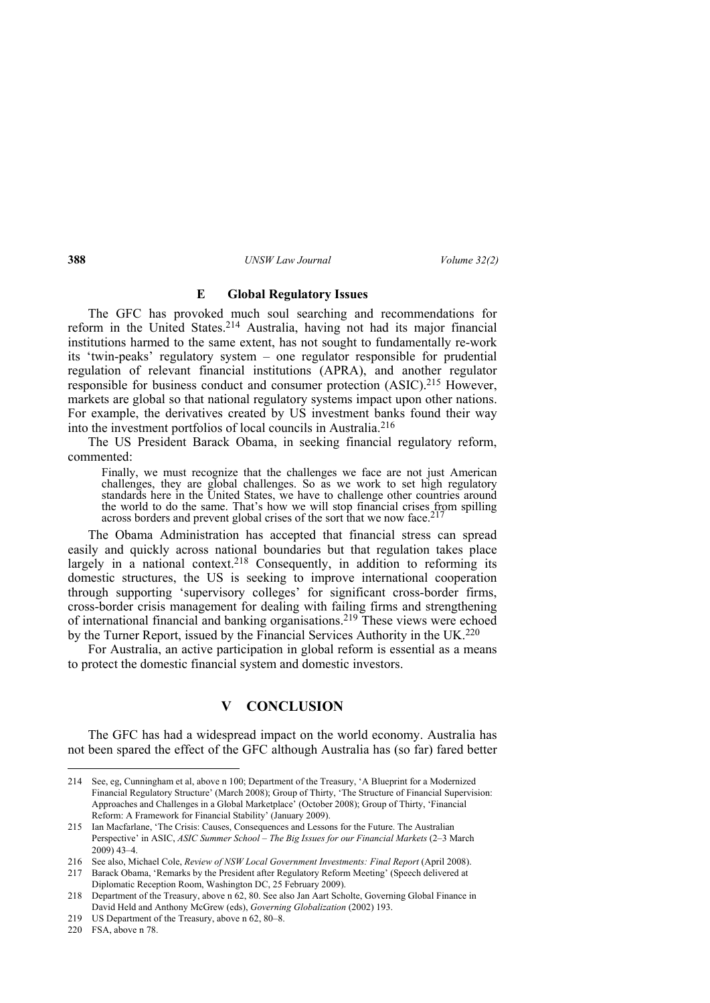## **E Global Regulatory Issues**

The GFC has provoked much soul searching and recommendations for reform in the United States.<sup>214</sup> Australia, having not had its major financial institutions harmed to the same extent, has not sought to fundamentally re-work its 'twin-peaks' regulatory system – one regulator responsible for prudential regulation of relevant financial institutions (APRA), and another regulator responsible for business conduct and consumer protection (ASIC).215 However, markets are global so that national regulatory systems impact upon other nations. For example, the derivatives created by US investment banks found their way into the investment portfolios of local councils in Australia.216

The US President Barack Obama, in seeking financial regulatory reform, commented:

Finally, we must recognize that the challenges we face are not just American challenges, they are global challenges. So as we work to set high regulatory standards here in the United States, we have to challenge other countries around the world to do the same. That's how we will stop financial crises from spilling across borders and prevent global crises of the sort that we now face.<sup>217</sup>

The Obama Administration has accepted that financial stress can spread easily and quickly across national boundaries but that regulation takes place largely in a national context.<sup>218</sup> Consequently, in addition to reforming its domestic structures, the US is seeking to improve international cooperation through supporting 'supervisory colleges' for significant cross-border firms, cross-border crisis management for dealing with failing firms and strengthening of international financial and banking organisations.219 These views were echoed by the Turner Report, issued by the Financial Services Authority in the UK.<sup>220</sup>

For Australia, an active participation in global reform is essential as a means to protect the domestic financial system and domestic investors.

# **V CONCLUSION**

The GFC has had a widespread impact on the world economy. Australia has not been spared the effect of the GFC although Australia has (so far) fared better

<sup>214</sup> See, eg, Cunningham et al, above n 100; Department of the Treasury, 'A Blueprint for a Modernized Financial Regulatory Structure' (March 2008); Group of Thirty, 'The Structure of Financial Supervision: Approaches and Challenges in a Global Marketplace' (October 2008); Group of Thirty, 'Financial Reform: A Framework for Financial Stability' (January 2009).

<sup>215</sup> Ian Macfarlane, 'The Crisis: Causes, Consequences and Lessons for the Future. The Australian Perspective' in ASIC, *ASIC Summer School – The Big Issues for our Financial Markets* (2–3 March 2009) 43–4.

<sup>216</sup> See also, Michael Cole, *Review of NSW Local Government Investments: Final Report* (April 2008).

<sup>217</sup> Barack Obama, 'Remarks by the President after Regulatory Reform Meeting' (Speech delivered at Diplomatic Reception Room, Washington DC, 25 February 2009).

<sup>218</sup> Department of the Treasury, above n 62, 80. See also Jan Aart Scholte, Governing Global Finance in David Held and Anthony McGrew (eds), *Governing Globalization* (2002) 193.

<sup>219</sup> US Department of the Treasury, above n 62, 80–8.

<sup>220</sup> FSA, above n 78.